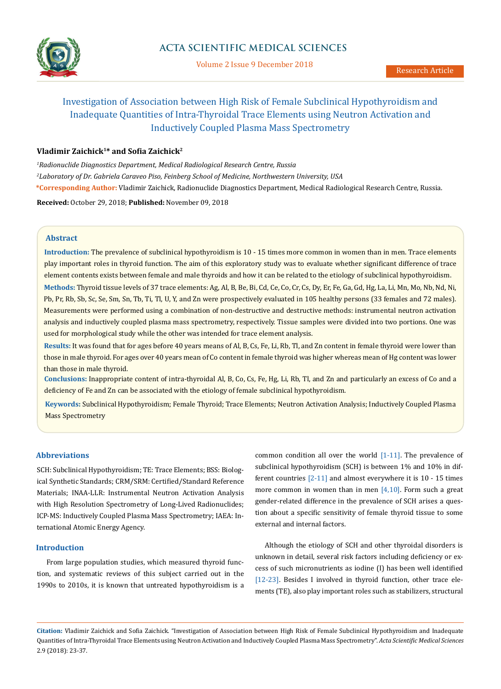

Volume 2 Issue 9 December 2018

# Investigation of Association between High Risk of Female Subclinical Hypothyroidism and Inadequate Quantities of Intra-Thyroidal Trace Elements using Neutron Activation and Inductively Coupled Plasma Mass Spectrometry

# **Vladimir Zaichick1\* and Sofia Zaichick<sup>2</sup>**

*1 Radionuclide Diagnostics Department, Medical Radiological Research Centre, Russia 2 Laboratory of Dr. Gabriela Caraveo Piso, Feinberg School of Medicine, Northwestern University, USA* **\*Corresponding Author:** Vladimir Zaichick, Radionuclide Diagnostics Department, Medical Radiological Research Centre, Russia.

**Received:** October 29, 2018; **Published:** November 09, 2018

## **Abstract**

**Introduction:** The prevalence of subclinical hypothyroidism is 10 - 15 times more common in women than in men. Trace elements play important roles in thyroid function. The aim of this exploratory study was to evaluate whether significant difference of trace element contents exists between female and male thyroids and how it can be related to the etiology of subclinical hypothyroidism.

**Methods:** Thyroid tissue levels of 37 trace elements: Ag, Al, B, Be, Bi, Cd, Ce, Co, Cr, Cs, Dy, Er, Fe, Ga, Gd, Hg, La, Li, Mn, Mo, Nb, Nd, Ni, Pb, Pr, Rb, Sb, Sc, Se, Sm, Sn, Tb, Ti, Tl, U, Y, and Zn were prospectively evaluated in 105 healthy persons (33 females and 72 males). Measurements were performed using a combination of non-destructive and destructive methods: instrumental neutron activation analysis and inductively coupled plasma mass spectrometry, respectively. Tissue samples were divided into two portions. One was used for morphological study while the other was intended for trace element analysis.

**Results:** It was found that for ages before 40 years means of Al, B, Cs, Fe, Li, Rb, Tl, and Zn content in female thyroid were lower than those in male thyroid. For ages over 40 years mean of Co content in female thyroid was higher whereas mean of Hg content was lower than those in male thyroid.

**Conclusions:** Inappropriate content of intra-thyroidal Al, B, Co, Cs, Fe, Hg, Li, Rb, Tl, and Zn and particularly an excess of Co and a deficiency of Fe and Zn can be associated with the etiology of female subclinical hypothyroidism.

**Keywords:** Subclinical Hypothyroidism; Female Thyroid; Trace Elements; Neutron Activation Analysis; Inductively Coupled Plasma Mass Spectrometry

# **Abbreviations**

SCH: Subclinical Hypothyroidism; TE: Trace Elements; BSS: Biological Synthetic Standards; CRM/SRM: Certified/Standard Reference Materials; INAA-LLR: Instrumental Neutron Activation Analysis with High Resolution Spectrometry of Long-Lived Radionuclides; ICP-MS: Inductively Coupled Plasma Mass Spectrometry; IAEA: International Atomic Energy Agency.

## **Introduction**

From large population studies, which measured thyroid function, and systematic reviews of this subject carried out in the 1990s to 2010s, it is known that untreated hypothyroidism is a

common condition all over the world  $[1-11]$ . The prevalence of subclinical hypothyroidism (SCH) is between 1% and 10% in different countries [2-11] and almost everywhere it is 10 - 15 times more common in women than in men  $[4,10]$ . Form such a great gender-related difference in the prevalence of SCH arises a question about a specific sensitivity of female thyroid tissue to some external and internal factors.

Although the etiology of SCH and other thyroidal disorders is unknown in detail, several risk factors including deficiency or excess of such micronutrients as iodine (I) has been well identified [12-23]. Besides I involved in thyroid function, other trace elements (TE), also play important roles such as stabilizers, structural

**Citation:** Vladimir Zaichick and Sofia Zaichick. "Investigation of Association between High Risk of Female Subclinical Hypothyroidism and Inadequate Quantities of Intra-Thyroidal Trace Elements using Neutron Activation and Inductively Coupled Plasma Mass Spectrometry". *Acta Scientific Medical Sciences* 2.9 (2018): 23-37.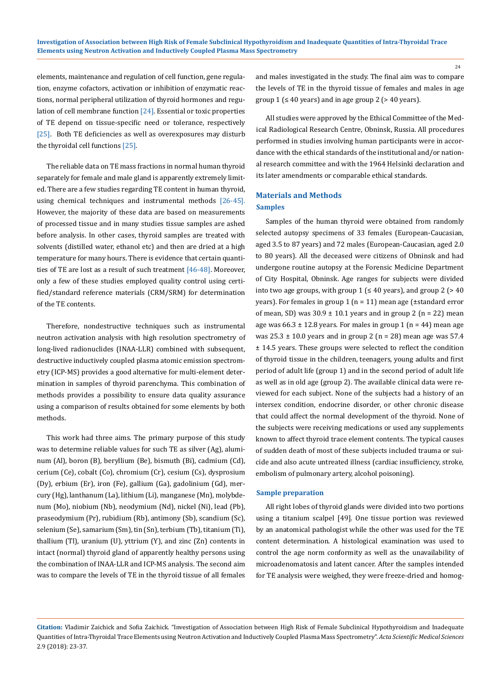elements, maintenance and regulation of cell function, gene regulation, enzyme cofactors, activation or inhibition of enzymatic reactions, normal peripheral utilization of thyroid hormones and regulation of cell membrane function  $[24]$ . Essential or toxic properties of TE depend on tissue-specific need or tolerance, respectively [25]. Both TE deficiencies as well as overexposures may disturb the thyroidal cell functions [25].

The reliable data on TE mass fractions in normal human thyroid separately for female and male gland is apparently extremely limited. There are a few studies regarding TE content in human thyroid, using chemical techniques and instrumental methods [26-45]. However, the majority of these data are based on measurements of processed tissue and in many studies tissue samples are ashed before analysis. In other cases, thyroid samples are treated with solvents (distilled water, ethanol etc) and then are dried at a high temperature for many hours. There is evidence that certain quantities of TE are lost as a result of such treatment [46-48]. Moreover, only a few of these studies employed quality control using certified/standard reference materials (CRM/SRM) for determination of the TE contents.

Therefore, nondestructive techniques such as instrumental neutron activation analysis with high resolution spectrometry of long-lived radionuclides (INAA-LLR) combined with subsequent, destructive inductively coupled plasma atomic emission spectrometry (ICP-MS) provides a good alternative for multi-element determination in samples of thyroid parenchyma. This combination of methods provides a possibility to ensure data quality assurance using a comparison of results obtained for some elements by both methods.

This work had three aims. The primary purpose of this study was to determine reliable values for such TE as silver (Ag), aluminum (Al), boron (B), beryllium (Be), bismuth (Bi), cadmium (Cd), cerium (Ce), cobalt (Co), chromium (Cr), cesium (Cs), dysprosium (Dy), erbium (Er), iron (Fe), gallium (Ga), gadolinium (Gd), mercury (Hg), lanthanum (La), lithium (Li), manganese (Mn), molybdenum (Mo), niobium (Nb), neodymium (Nd), nickel (Ni), lead (Pb), praseodymium (Pr), rubidium (Rb), antimony (Sb), scandium (Sc), selenium (Se), samarium (Sm), tin (Sn), terbium (Tb), titanium (Ti), thallium (Tl), uranium (U), yttrium (Y), and zinc (Zn) contents in intact (normal) thyroid gland of apparently healthy persons using the combination of INAA-LLR and ICP-MS analysis. The second aim was to compare the levels of TE in the thyroid tissue of all females

and males investigated in the study. The final aim was to compare the levels of TE in the thyroid tissue of females and males in age group  $1$  ( $\leq$  40 years) and in age group 2 ( $>$  40 years).

All studies were approved by the Ethical Committee of the Medical Radiological Research Centre, Obninsk, Russia. All procedures performed in studies involving human participants were in accordance with the ethical standards of the institutional and/or national research committee and with the 1964 Helsinki declaration and its later amendments or comparable ethical standards.

## **Materials and Methods**

## **Samples**

Samples of the human thyroid were obtained from randomly selected autopsy specimens of 33 females (European-Caucasian, aged 3.5 to 87 years) and 72 males (European-Caucasian, aged 2.0 to 80 years). All the deceased were citizens of Obninsk and had undergone routine autopsy at the Forensic Medicine Department of City Hospital, Obninsk. Age ranges for subjects were divided into two age groups, with group  $1$  ( $\leq 40$  years), and group  $2$  ( $> 40$ years). For females in group 1 (n = 11) mean age (±standard error of mean, SD) was  $30.9 \pm 10.1$  years and in group 2 (n = 22) mean age was  $66.3 \pm 12.8$  years. For males in group 1 (n = 44) mean age was  $25.3 \pm 10.0$  years and in group 2 (n = 28) mean age was 57.4 ± 14.5 years. These groups were selected to reflect the condition of thyroid tissue in the children, teenagers, young adults and first period of adult life (group 1) and in the second period of adult life as well as in old age (group 2). The available clinical data were reviewed for each subject. None of the subjects had a history of an intersex condition, endocrine disorder, or other chronic disease that could affect the normal development of the thyroid. None of the subjects were receiving medications or used any supplements known to affect thyroid trace element contents. The typical causes of sudden death of most of these subjects included trauma or suicide and also acute untreated illness (cardiac insufficiency, stroke, embolism of pulmonary artery, alcohol poisoning).

#### **Sample preparation**

All right lobes of thyroid glands were divided into two portions using a titanium scalpel [49]. One tissue portion was reviewed by an anatomical pathologist while the other was used for the TE content determination. A histological examination was used to control the age norm conformity as well as the unavailability of microadenomatosis and latent cancer. After the samples intended for TE analysis were weighed, they were freeze-dried and homog-

**Citation:** Vladimir Zaichick and Sofia Zaichick. "Investigation of Association between High Risk of Female Subclinical Hypothyroidism and Inadequate Quantities of Intra-Thyroidal Trace Elements using Neutron Activation and Inductively Coupled Plasma Mass Spectrometry". *Acta Scientific Medical Sciences* 2.9 (2018): 23-37.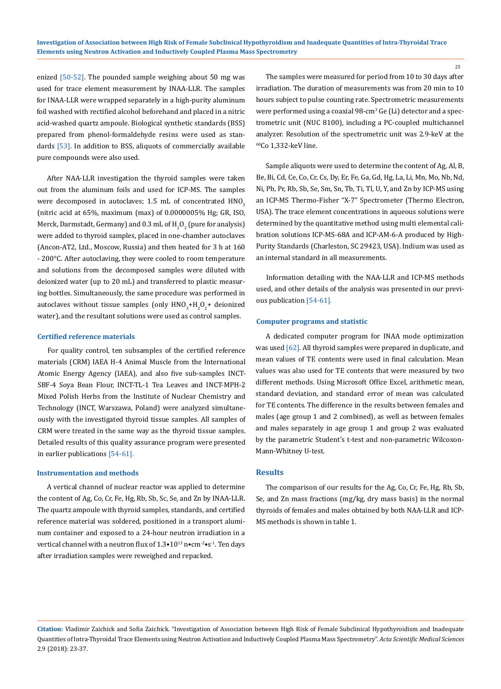enized [50-52]. The pounded sample weighing about 50 mg was used for trace element measurement by INAA-LLR. The samples for INAA-LLR were wrapped separately in a high-purity aluminum foil washed with rectified alcohol beforehand and placed in a nitric acid-washed quartz ampoule. Biological synthetic standards (BSS) prepared from phenol-formaldehyde resins were used as standards [53]. In addition to BSS, aliquots of commercially available pure compounds were also used.

After NAA-LLR investigation the thyroid samples were taken out from the aluminum foils and used for ICP-MS. The samples were decomposed in autoclaves; 1.5 mL of concentrated HNO<sub>3</sub> (nitric acid at 65%, maximum (max) of 0.0000005% Hg; GR, ISO, Merck, Darmstadt, Germany) and 0.3 mL of  $\rm H_2O_2$  (pure for analysis) were added to thyroid samples, placed in one-chamber autoclaves (Ancon-AT2, Ltd., Moscow, Russia) and then heated for 3 h at 160 - 200°C. After autoclaving, they were cooled to room temperature and solutions from the decomposed samples were diluted with deionized water (up to 20 mL) and transferred to plastic measuring bottles. Simultaneously, the same procedure was performed in autoclaves without tissue samples (only  $HNO<sub>3</sub>+H<sub>2</sub>O<sub>2</sub>$ + deionized water), and the resultant solutions were used as control samples.

#### **Certified reference materials**

For quality control, ten subsamples of the certified reference materials (CRM) IAEA H-4 Animal Muscle from the International Atomic Energy Agency (IAEA), and also five sub-samples INCT-SBF-4 Soya Bean Flour, INCT-TL-1 Tea Leaves and INCT-MPH-2 Mixed Polish Herbs from the Institute of Nuclear Chemistry and Technology (INCT, Warszawa, Poland) were analyzed simultaneously with the investigated thyroid tissue samples. All samples of CRM were treated in the same way as the thyroid tissue samples. Detailed results of this quality assurance program were presented in earlier publications [54-61].

## **Instrumentation and methods**

A vertical channel of nuclear reactor was applied to determine the content of Ag, Co, Cr, Fe, Hg, Rb, Sb, Sc, Se, and Zn by INAA-LLR. The quartz ampoule with thyroid samples, standards, and certified reference material was soldered, positioned in a transport aluminum container and exposed to a 24-hour neutron irradiation in a vertical channel with a neutron flux of  $1.3 \cdot 10^{13}$  n $\cdot$ cm<sup>-2</sup> $\cdot$ s<sup>-1</sup>. Ten days after irradiation samples were reweighed and repacked.

The samples were measured for period from 10 to 30 days after irradiation. The duration of measurements was from 20 min to 10 hours subject to pulse counting rate. Spectrometric measurements were performed using a coaxial 98-cm<sup>3</sup> Ge (Li) detector and a spectrometric unit (NUC 8100), including a PC-coupled multichannel analyzer. Resolution of the spectrometric unit was 2.9-keV at the 60Co 1,332-keV line.

Sample aliquots were used to determine the content of Ag, Al, B, Be, Bi, Cd, Ce, Co, Cr, Cs, Dy, Er, Fe, Ga, Gd, Hg, La, Li, Mn, Mo, Nb, Nd, Ni, Pb, Pr, Rb, Sb, Se, Sm, Sn, Tb, Ti, Tl, U, Y, and Zn by ICP-MS using an ICP-MS Thermo-Fisher "X-7" Spectrometer (Thermo Electron, USA). The trace element concentrations in aqueous solutions were determined by the quantitative method using multi elemental calibration solutions ICP-MS-68A and ICP-AM-6-A produced by High-Purity Standards (Charleston, SC 29423, USA). Indium was used as an internal standard in all measurements.

Information detailing with the NAA-LLR and ICP-MS methods used, and other details of the analysis was presented in our previous publication [54-61].

## **Computer programs and statistic**

A dedicated computer program for INAA mode optimization was used [62]. All thyroid samples were prepared in duplicate, and mean values of TE contents were used in final calculation. Mean values was also used for TE contents that were measured by two different methods. Using Microsoft Office Excel, arithmetic mean, standard deviation, and standard error of mean was calculated for TE contents. The difference in the results between females and males (age group 1 and 2 combined), as well as between females and males separately in age group 1 and group 2 was evaluated by the parametric Student's t-test and non-parametric Wilcoxon-Mann-Whitney U-test.

## **Results**

The comparison of our results for the Ag, Co, Cr, Fe, Hg, Rb, Sb, Se, and Zn mass fractions (mg/kg, dry mass basis) in the normal thyroids of females and males obtained by both NAA-LLR and ICP-MS methods is shown in table 1.

**Citation:** Vladimir Zaichick and Sofia Zaichick. "Investigation of Association between High Risk of Female Subclinical Hypothyroidism and Inadequate Quantities of Intra-Thyroidal Trace Elements using Neutron Activation and Inductively Coupled Plasma Mass Spectrometry". *Acta Scientific Medical Sciences* 2.9 (2018): 23-37.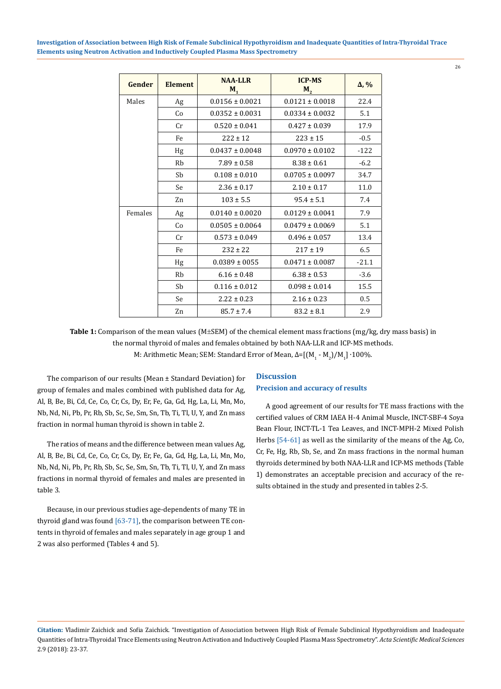| Gender  | <b>Element</b> | <b>NAA-LLR</b><br>M <sub>1</sub> | <b>ICP-MS</b><br>M <sub>2</sub> | $\Delta$ , % |
|---------|----------------|----------------------------------|---------------------------------|--------------|
| Males   | Ag             | $0.0156 \pm 0.0021$              | $0.0121 \pm 0.0018$             | 22.4         |
|         | Co             | $0.0352 \pm 0.0031$              | $0.0334 \pm 0.0032$             | 5.1          |
|         | Cr             | $0.520 \pm 0.041$                | $0.427 \pm 0.039$               | 17.9         |
|         | Fe             | $222 \pm 12$                     | $223 \pm 15$                    | $-0.5$       |
|         | Hg             | $0.0437 \pm 0.0048$              | $0.0970 \pm 0.0102$             | $-122$       |
|         | <b>Rb</b>      | $7.89 \pm 0.58$                  | $8.38 \pm 0.61$                 | $-6.2$       |
|         | Sb             | $0.108 \pm 0.010$                | $0.0705 \pm 0.0097$             | 34.7         |
|         | Se             | $2.36 \pm 0.17$                  | $2.10 \pm 0.17$                 | 11.0         |
|         | Zn             | $103 \pm 5.5$                    | $95.4 \pm 5.1$                  | 7.4          |
| Females | Ag             | $0.0140 \pm 0.0020$              | $0.0129 \pm 0.0041$             | 7.9          |
|         | Co             | $0.0505 \pm 0.0064$              | $0.0479 \pm 0.0069$             | 5.1          |
|         | Cr             | $0.573 \pm 0.049$                | $0.496 \pm 0.057$               | 13.4         |
|         | Fe             | $232 \pm 22$                     | $217 \pm 19$                    | 6.5          |
|         | Hg             | $0.0389 \pm 0055$                | $0.0471 \pm 0.0087$             | $-21.1$      |
|         | Rb             | $6.16 \pm 0.48$                  | $6.38 \pm 0.53$                 | $-3.6$       |
|         | Sb             | $0.116 \pm 0.012$                | $0.098 \pm 0.014$               | 15.5         |
|         | Se             | $2.22 \pm 0.23$                  | $2.16 \pm 0.23$                 | 0.5          |
|         | Zn             | $85.7 \pm 7.4$                   | $83.2 \pm 8.1$                  | 2.9          |

26

**Table 1:** Comparison of the mean values (M±SEM) of the chemical element mass fractions (mg/kg, dry mass basis) in the normal thyroid of males and females obtained by both NAA-LLR and ICP-MS methods. M: Arithmetic Mean; SEM: Standard Error of Mean, Δ=[(M<sub>1</sub> - M<sub>2</sub>)/M<sub>1</sub>] •100%.

The comparison of our results (Mean ± Standard Deviation) for group of females and males combined with published data for Ag, Al, B, Be, Bi, Cd, Ce, Co, Cr, Cs, Dy, Er, Fe, Ga, Gd, Hg, La, Li, Mn, Mo, Nb, Nd, Ni, Pb, Pr, Rb, Sb, Sc, Se, Sm, Sn, Tb, Ti, Tl, U, Y, and Zn mass fraction in normal human thyroid is shown in table 2.

The ratios of means and the difference between mean values Ag, Al, B, Be, Bi, Cd, Ce, Co, Cr, Cs, Dy, Er, Fe, Ga, Gd, Hg, La, Li, Mn, Mo, Nb, Nd, Ni, Pb, Pr, Rb, Sb, Sc, Se, Sm, Sn, Tb, Ti, Tl, U, Y, and Zn mass fractions in normal thyroid of females and males are presented in table 3.

Because, in our previous studies age-dependents of many TE in thyroid gland was found [63-71], the comparison between TE contents in thyroid of females and males separately in age group 1 and 2 was also performed (Tables 4 and 5).

# **Discussion Precision and accuracy of results**

A good agreement of our results for TE mass fractions with the certified values of CRM IAEA H-4 Animal Muscle, INCT-SBF-4 Soya Bean Flour, INCT-TL-1 Tea Leaves, and INCT-MPH-2 Mixed Polish Herbs [54-61] as well as the similarity of the means of the Ag, Co, Cr, Fe, Hg, Rb, Sb, Se, and Zn mass fractions in the normal human thyroids determined by both NAA-LLR and ICP-MS methods (Table 1) demonstrates an acceptable precision and accuracy of the results obtained in the study and presented in tables 2-5.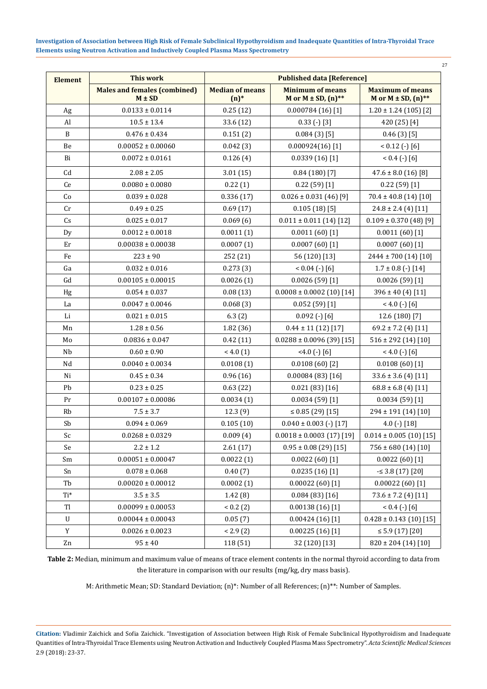|                |                                                   |                               |                                                                  | 27                                                               |  |  |
|----------------|---------------------------------------------------|-------------------------------|------------------------------------------------------------------|------------------------------------------------------------------|--|--|
| <b>Element</b> | <b>This work</b>                                  |                               | <b>Published data [Reference]</b>                                |                                                                  |  |  |
|                | <b>Males and females (combined)</b><br>$M \pm SD$ | <b>Median of means</b><br>(n) | <b>Minimum of means</b><br>M or $M \pm SD$ , $(n)$ <sup>**</sup> | <b>Maximum of means</b><br>M or $M \pm SD$ , $(n)$ <sup>**</sup> |  |  |
| Ag             | $0.0133 \pm 0.0114$                               | 0.25(12)                      | 0.000784(16)[1]                                                  | $1.20 \pm 1.24$ (105) [2]                                        |  |  |
| Al             | $10.5 \pm 13.4$                                   | 33.6 (12)                     | $0.33$ (-) [3]                                                   | 420 (25) [4]                                                     |  |  |
| B              | $0.476 \pm 0.434$                                 | 0.151(2)                      | 0.084(3)[5]                                                      | 0.46(3)[5]                                                       |  |  |
| Be             | $0.00052 \pm 0.00060$                             | 0.042(3)                      | $0.000924(16)$ [1]                                               | $< 0.12$ (-) [6]                                                 |  |  |
| Bi             | $0.0072 \pm 0.0161$                               | 0.126(4)                      | 0.0339(16)[1]                                                    | $< 0.4 (-) [6]$                                                  |  |  |
| Cd             | $2.08 \pm 2.05$                                   | 3.01(15)                      | 0.84(180)[7]                                                     | $47.6 \pm 8.0$ (16) [8]                                          |  |  |
| Ce             | $0.0080 \pm 0.0080$                               | 0.22(1)                       | 0.22(59)[1]                                                      | 0.22(59)[1]                                                      |  |  |
| Co             | $0.039 \pm 0.028$                                 | 0.336(17)                     | $0.026 \pm 0.031$ (46) [9]                                       | $70.4 \pm 40.8$ (14) [10]                                        |  |  |
| Cr             | $0.49 \pm 0.25$                                   | 0.69(17)                      | 0.105(18)[5]                                                     | $24.8 \pm 2.4$ (4) [11]                                          |  |  |
| Cs             | $0.025 \pm 0.017$                                 | 0.069(6)                      | $0.011 \pm 0.011$ (14) [12]                                      | $0.109 \pm 0.370$ (48) [9]                                       |  |  |
| Dy             | $0.0012 \pm 0.0018$                               | 0.0011(1)                     | 0.0011(60)[1]                                                    | 0.0011(60)[1]                                                    |  |  |
| Er             | $0.00038 \pm 0.00038$                             | 0.0007(1)                     | 0.0007(60)[1]                                                    | 0.0007(60)[1]                                                    |  |  |
| Fe             | $223 \pm 90$                                      | 252 (21)                      | 56 (120) [13]                                                    | 2444 ± 700 (14) [10]                                             |  |  |
| Ga             | $0.032 \pm 0.016$                                 | 0.273(3)                      | $< 0.04$ (-) [6]                                                 | $1.7 \pm 0.8$ (-) [14]                                           |  |  |
| Gd             | $0.00105 \pm 0.00015$                             | 0.0026(1)                     | 0.0026(59)[1]                                                    | 0.0026(59)[1]                                                    |  |  |
| Hg             | $0.054 \pm 0.037$                                 | 0.08(13)                      | $0.0008 \pm 0.0002$ (10) [14]                                    | $396 \pm 40$ (4) [11]                                            |  |  |
| La             | $0.0047 \pm 0.0046$                               | 0.068(3)                      | 0.052(59)[1]                                                     | $< 4.0$ (-) [6]                                                  |  |  |
| Li             | $0.021 \pm 0.015$                                 | 6.3(2)                        | $0.092$ (-) [6]                                                  | 12.6 (180) [7]                                                   |  |  |
| Mn             | $1.28 \pm 0.56$                                   | 1.82(36)                      | $0.44 \pm 11$ (12) [17]                                          | $69.2 \pm 7.2$ (4) [11]                                          |  |  |
| Mo             | $0.0836\pm0.047$                                  | 0.42(11)                      | $0.0288 \pm 0.0096$ (39) [15]                                    | $516 \pm 292$ (14) [10]                                          |  |  |
| Nb             | $0.60 \pm 0.90$                                   | < 4.0(1)                      | $4.0$ (-) [6]                                                    | $< 4.0$ (-) [6]                                                  |  |  |
| Nd             | $0.0040 \pm 0.0034$                               | 0.0108(1)                     | 0.0108(60)[2]                                                    | 0.0108(60)[1]                                                    |  |  |
| Ni             | $0.45 \pm 0.34$                                   | 0.96(16)                      | 0.00084(83)[16]                                                  | $33.6 \pm 3.6$ (4) [11]                                          |  |  |
| Pb             | $0.23 \pm 0.25$                                   | 0.63(22)                      | 0.021(83)[16]                                                    | $68.8 \pm 6.8$ (4) [11]                                          |  |  |
| Pr             | $0.00107 \pm 0.00086$                             | 0.0034(1)                     | 0.0034(59)[1]                                                    | 0.0034(59)[1]                                                    |  |  |
| Rb             | $7.5 \pm 3.7$                                     | 12.3(9)                       | $\leq$ 0.85 (29) [15]                                            | 294 ± 191 (14) [10]                                              |  |  |
| Sb             | $0.094 \pm 0.069$                                 | 0.105(10)                     | $0.040 \pm 0.003$ (-) [17]                                       | 4.0 $(-)$ $[18]$                                                 |  |  |
| Sc             | $0.0268 \pm 0.0329$                               | 0.009(4)                      | $0.0018 \pm 0.0003$ (17) [19]                                    | $0.014 \pm 0.005$ (10) [15]                                      |  |  |
| Se             | $2.2 \pm 1.2$                                     | 2.61(17)                      | $0.95 \pm 0.08$ (29) [15]                                        | $756 \pm 680$ (14) [10]                                          |  |  |
| Sm             | $0.00051 \pm 0.00047$                             | 0.0022(1)                     | $0.0022(60)$ [1]                                                 | 0.0022(60)[1]                                                    |  |  |
| Sn             | $0.078 \pm 0.068$                                 | 0.40(7)                       | 0.0235(16)[1]                                                    | $-5.38(17)[20]$                                                  |  |  |
| Tb             | $0.00020 \pm 0.00012$                             | 0.0002(1)                     | $0.00022(60)$ [1]                                                | $0.00022(60)$ [1]                                                |  |  |
| Ti*            | $3.5 \pm 3.5$                                     | 1.42(8)                       | 0.084(83)[16]                                                    | $73.6 \pm 7.2$ (4) [11]                                          |  |  |
| Tl             | $0.00099 \pm 0.00053$                             | < 0.2(2)                      | 0.00138(16)[1]                                                   | $< 0.4 (-) [6]$                                                  |  |  |
| U              | $0.00044 \pm 0.00043$                             | 0.05(7)                       | 0.00424(16)[1]                                                   | $0.428 \pm 0.143$ (10) [15]                                      |  |  |
| Y              | $0.0026 \pm 0.0023$                               | < 2.9(2)                      | 0.00225(16)[1]                                                   | $\leq$ 5.9 (17) [20]                                             |  |  |
| Zn             | $95 \pm 40$                                       | 118 (51)                      | 32 (120) [13]                                                    | $820 \pm 204$ (14) [10]                                          |  |  |

**Table 2:** Median, minimum and maximum value of means of trace element contents in the normal thyroid according to data from the literature in comparison with our results (mg/kg, dry mass basis).

M: Arithmetic Mean; SD: Standard Deviation; (n)\*: Number of all References; (n)\*\*: Number of Samples.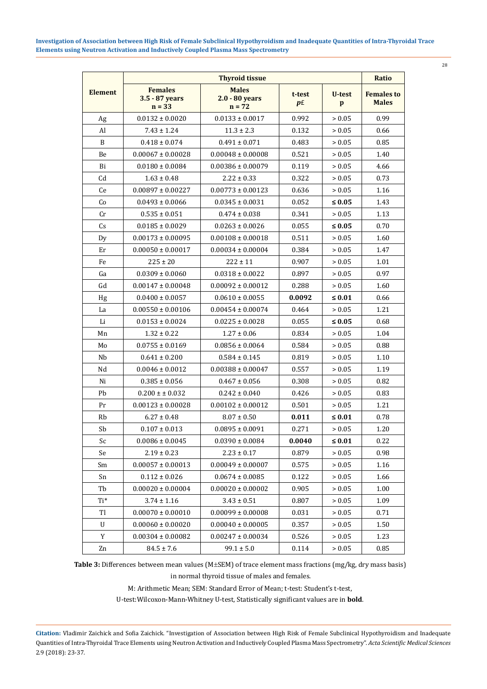|  | I<br>v.<br>۰, |  |
|--|---------------|--|

|                | <b>Thyroid tissue</b>                        |                                            |                          |                    | Ratio                             |  |
|----------------|----------------------------------------------|--------------------------------------------|--------------------------|--------------------|-----------------------------------|--|
| <b>Element</b> | <b>Females</b><br>3.5 - 87 years<br>$n = 33$ | <b>Males</b><br>2.0 - 80 years<br>$n = 72$ | t-test<br>$p_{\text{f}}$ | <b>U-test</b><br>p | <b>Females to</b><br><b>Males</b> |  |
| Ag             | $0.0132 \pm 0.0020$                          | $0.0133 \pm 0.0017$                        | 0.992                    | > 0.05             | 0.99                              |  |
| Al             | $7.43 \pm 1.24$                              | $11.3 \pm 2.3$                             | 0.132                    | > 0.05             | 0.66                              |  |
| B              | $0.418 \pm 0.074$                            | $0.491 \pm 0.071$                          | 0.483                    | > 0.05             | 0.85                              |  |
| $\mbox{Be}$    | $0.00067 \pm 0.00028$                        | $0.00048 \pm 0.00008$                      | 0.521                    | > 0.05             | 1.40                              |  |
| Bi             | $0.0180 \pm 0.0084$                          | $0.00386 \pm 0.00079$                      | 0.119                    | > 0.05             | 4.66                              |  |
| Cd             | $1.63 \pm 0.48$                              | $2.22 \pm 0.33$                            | 0.322                    | > 0.05             | 0.73                              |  |
| Ce             | $0.00897 \pm 0.00227$                        | $0.00773 \pm 0.00123$                      | 0.636                    | > 0.05             | 1.16                              |  |
| Co             | $0.0493 \pm 0.0066$                          | $0.0345 \pm 0.0031$                        | 0.052                    | $\leq 0.05$        | 1.43                              |  |
| Cr             | $0.535 \pm 0.051$                            | $0.474 \pm 0.038$                          | 0.341                    | > 0.05             | 1.13                              |  |
| Cs             | $0.0185 \pm 0.0029$                          | $0.0263 \pm 0.0026$                        | 0.055                    | $\leq 0.05$        | 0.70                              |  |
| Dy             | $0.00173 \pm 0.00095$                        | $0.00108 \pm 0.00018$                      | 0.511                    | > 0.05             | 1.60                              |  |
| Er             | $0.00050 \pm 0.00017$                        | $0.00034 \pm 0.00004$                      | 0.384                    | > 0.05             | 1.47                              |  |
| Fe             | $225 \pm 20$                                 | $222 \pm 11$                               | 0.907                    | > 0.05             | 1.01                              |  |
| Ga             | $0.0309 \pm 0.0060$                          | $0.0318 \pm 0.0022$                        | 0.897                    | > 0.05             | 0.97                              |  |
| Gd             | $0.00147 \pm 0.00048$                        | $0.00092 \pm 0.00012$                      | 0.288                    | > 0.05             | 1.60                              |  |
| Hg             | $0.0400 \pm 0.0057$                          | $0.0610 \pm 0.0055$                        | 0.0092                   | $\leq 0.01$        | 0.66                              |  |
| La             | $0.00550 \pm 0.00106$                        | $0.00454 \pm 0.00074$                      | 0.464                    | > 0.05             | 1.21                              |  |
| Li             | $0.0153 \pm 0.0024$                          | $0.0225 \pm 0.0028$                        | 0.055                    | $\leq 0.05$        | 0.68                              |  |
| Mn             | $1.32 \pm 0.22$                              | $1.27 \pm 0.06$                            | 0.834                    | > 0.05             | 1.04                              |  |
| Mo             | $0.0755 \pm 0.0169$                          | $0.0856 \pm 0.0064$                        | 0.584                    | > 0.05             | 0.88                              |  |
| Nb             | $0.641 \pm 0.200$                            | $0.584 \pm 0.145$                          | 0.819                    | > 0.05             | 1.10                              |  |
| Nd             | $0.0046 \pm 0.0012$                          | $0.00388 \pm 0.00047$                      | 0.557                    | > 0.05             | 1.19                              |  |
| Ni             | $0.385 \pm 0.056$                            | $0.467 \pm 0.056$                          | 0.308                    | > 0.05             | 0.82                              |  |
| Pb             | $0.200 \pm \pm 0.032$                        | $0.242 \pm 0.040$                          | 0.426                    | > 0.05             | 0.83                              |  |
| Pr             | $0.00123 \pm 0.00028$                        | $0.00102 \pm 0.00012$                      | 0.501                    | > 0.05             | 1.21                              |  |
| Rb             | $6.27 \pm 0.48$                              | $8.07 \pm 0.50$                            | 0.011                    | $\leq 0.01$        | 0.78                              |  |
| Sb             | $0.107 \pm 0.013$                            | $0.0895 \pm 0.0091$                        | 0.271                    | > 0.05             | 1.20                              |  |
| Sc             | $0.0086 \pm 0.0045$                          | $0.0390 \pm 0.0084$                        | 0.0040                   | $\leq 0.01$        | 0.22                              |  |
| Se             | $2.19 \pm 0.23$                              | $2.23\pm0.17$                              | 0.879                    | > 0.05             | 0.98                              |  |
| Sm             | $0.00057 \pm 0.00013$                        | $0.00049 \pm 0.00007$                      | 0.575                    | > 0.05             | 1.16                              |  |
| Sn             | $0.112 \pm 0.026$                            | $0.0674 \pm 0.0085$                        | 0.122                    | > 0.05             | 1.66                              |  |
| Tb             | $0.00020 \pm 0.00004$                        | $0.00020 \pm 0.00002$                      | 0.905                    | > 0.05             | 1.00                              |  |
| Ti*            | $3.74 \pm 1.16$                              | $3.43 \pm 0.51$                            | 0.807                    | > 0.05             | 1.09                              |  |
| Tl             | $0.00070 \pm 0.00010$                        | $0.00099 \pm 0.00008$                      | 0.031                    | > 0.05             | 0.71                              |  |
| U              | $0.00060 \pm 0.00020$                        | $0.00040 \pm 0.00005$                      | 0.357                    | > 0.05             | 1.50                              |  |
| $\mathbf Y$    | $0.00304 \pm 0.00082$                        | $0.00247 \pm 0.00034$                      | 0.526                    | > 0.05             | 1.23                              |  |
| Zn             | $84.5 \pm 7.6$                               | $99.1 \pm 5.0$                             | 0.114                    | > 0.05             | 0.85                              |  |

**Table 3:** Differences between mean values (M±SEM) of trace element mass fractions (mg/kg, dry mass basis) in normal thyroid tissue of males and females.

M: Arithmetic Mean; SEM: Standard Error of Mean; t-test: Student's t-test,

U-test:Wilcoxon-Mann-Whitney U-test, Statistically significant values are in **bold**.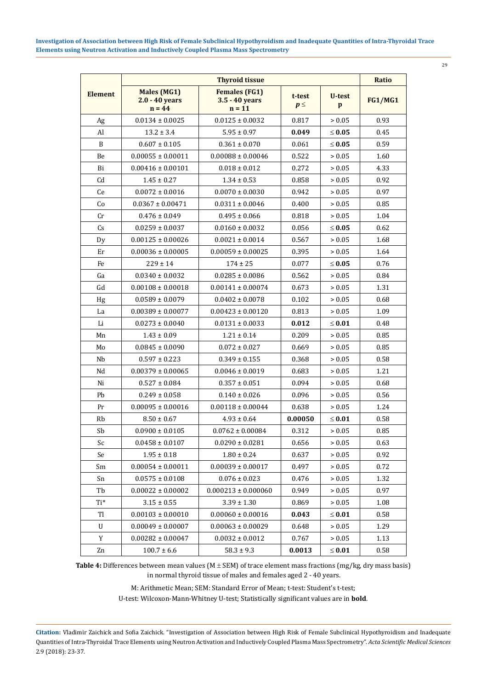| ۰.<br>v |
|---------|

|                | <b>Thyroid tissue</b>                              |                                                    |                    |             | Ratio          |
|----------------|----------------------------------------------------|----------------------------------------------------|--------------------|-------------|----------------|
| <b>Element</b> | <b>Males (MG1)</b><br>$2.0 - 40$ years<br>$n = 44$ | <b>Females (FG1)</b><br>3.5 - 40 years<br>$n = 11$ | t-test<br>$p \leq$ | U-test<br>p | <b>FG1/MG1</b> |
| Ag             | $0.0134 \pm 0.0025$                                | $0.0125 \pm 0.0032$                                | 0.817              | > 0.05      | 0.93           |
| Al             | $13.2 \pm 3.4$                                     | $5.95 \pm 0.97$                                    | 0.049              | $\leq 0.05$ | 0.45           |
| B              | $0.607 \pm 0.105$                                  | $0.361 \pm 0.070$                                  | 0.061              | $\leq 0.05$ | 0.59           |
| Be             | $0.00055 \pm 0.00011$                              | $0.00088 \pm 0.00046$                              | 0.522              | > 0.05      | 1.60           |
| Bi             | $0.00416 \pm 0.00101$                              | $0.018 \pm 0.012$                                  | 0.272              | > 0.05      | 4.33           |
| C <sub>d</sub> | $1.45 \pm 0.27$                                    | $1.34 \pm 0.53$                                    | 0.858              | > 0.05      | 0.92           |
| Ce             | $0.0072 \pm 0.0016$                                | $0.0070 \pm 0.0030$                                | 0.942              | > 0.05      | 0.97           |
| Co             | $0.0367 \pm 0.00471$                               | $0.0311 \pm 0.0046$                                | 0.400              | > 0.05      | 0.85           |
| Cr             | $0.476 \pm 0.049$                                  | $0.495 \pm 0.066$                                  | 0.818              | > 0.05      | 1.04           |
| Cs             | $0.0259 \pm 0.0037$                                | $0.0160 \pm 0.0032$                                | 0.056              | $\leq 0.05$ | 0.62           |
| Dy             | $0.00125 \pm 0.00026$                              | $0.0021 \pm 0.0014$                                | 0.567              | > 0.05      | 1.68           |
| Er             | $0.00036 \pm 0.00005$                              | $0.00059 \pm 0.00025$                              | 0.395              | > 0.05      | 1.64           |
| Fe             | $229 \pm 14$                                       | $174 \pm 25$                                       | 0.077              | $\leq 0.05$ | 0.76           |
| Ga             | $0.0340 \pm 0.0032$                                | $0.0285 \pm 0.0086$                                | 0.562              | > 0.05      | 0.84           |
| Gd             | $0.00108 \pm 0.00018$                              | $0.00141 \pm 0.00074$                              | 0.673              | > 0.05      | 1.31           |
| Hg             | $0.0589 \pm 0.0079$                                | $0.0402 \pm 0.0078$                                | 0.102              | > 0.05      | 0.68           |
| La             | $0.00389 \pm 0.00077$                              | $0.00423 \pm 0.00120$                              | 0.813              | > 0.05      | 1.09           |
| Li             | $0.0273 \pm 0.0040$                                | $0.0131 \pm 0.0033$                                | 0.012              | $\leq 0.01$ | 0.48           |
| Mn             | $1.43 \pm 0.09$                                    | $1.21 \pm 0.14$                                    | 0.209              | > 0.05      | 0.85           |
| Mo             | $0.0845 \pm 0.0090$                                | $0.072 \pm 0.027$                                  | 0.669              | > 0.05      | 0.85           |
| Nb             | $0.597 \pm 0.223$                                  | $0.349 \pm 0.155$                                  | 0.368              | > 0.05      | 0.58           |
| Nd             | $0.00379 \pm 0.00065$                              | $0.0046 \pm 0.0019$                                | 0.683              | > 0.05      | 1.21           |
| Ni             | $0.527 \pm 0.084$                                  | $0.357 \pm 0.051$                                  | 0.094              | > 0.05      | 0.68           |
| Pb             | $0.249 \pm 0.058$                                  | $0.140 \pm 0.026$                                  | 0.096              | > 0.05      | 0.56           |
| Pr             | $0.00095 \pm 0.00016$                              | $0.00118 \pm 0.00044$                              | 0.638              | > 0.05      | 1.24           |
| Rb             | $8.50 \pm 0.67$                                    | $4.93 \pm 0.64$                                    | 0.00050            | $\leq 0.01$ | 0.58           |
| Sb             | $0.0900 \pm 0.0105$                                | $0.0762 \pm 0.00084$                               | 0.312              | > 0.05      | 0.85           |
| Sc             | $0.0458 \pm 0.0107$                                | $0.0290 \pm 0.0281$                                | 0.656              | > 0.05      | 0.63           |
| Se             | $1.95 \pm 0.18$                                    | $1.80 \pm 0.24$                                    | 0.637              | > 0.05      | 0.92           |
| Sm             | $0.00054 \pm 0.00011$                              | $0.00039 \pm 0.00017$                              | 0.497              | > 0.05      | 0.72           |
| Sn             | $0.0575 \pm 0.0108$                                | $0.076 \pm 0.023$                                  | 0.476              | > 0.05      | 1.32           |
| Tb             | $0.00022 \pm 0.00002$                              | $0.000213 \pm 0.000060$                            | 0.949              | > 0.05      | 0.97           |
| Ti*            | $3.15 \pm 0.55$                                    | $3.39 \pm 1.30$                                    | 0.869              | > 0.05      | 1.08           |
| Tl             | $0.00103 \pm 0.00010$                              | $0.00060 \pm 0.00016$                              | 0.043              | $\leq 0.01$ | 0.58           |
| U              | $0.00049 \pm 0.00007$                              | $0.00063 \pm 0.00029$                              | 0.648              | > 0.05      | 1.29           |
| Y              | $0.00282 \pm 0.00047$                              | $0.0032 \pm 0.0012$                                | 0.767              | > 0.05      | 1.13           |
| Zn             | $100.7 \pm 6.6$                                    | $58.3 \pm 9.3$                                     | 0.0013             | $\leq 0.01$ | 0.58           |

**Table 4:** Differences between mean values (M ± SEM) of trace element mass fractions (mg/kg, dry mass basis) in normal thyroid tissue of males and females aged 2 - 40 years.

M: Arithmetic Mean; SEM: Standard Error of Mean; t-test: Student's t-test;

U-test: Wilcoxon-Mann-Whitney U-test; Statistically significant values are in **bold**.

**Citation:** Vladimir Zaichick and Sofia Zaichick. "Investigation of Association between High Risk of Female Subclinical Hypothyroidism and Inadequate Quantities of Intra-Thyroidal Trace Elements using Neutron Activation and Inductively Coupled Plasma Mass Spectrometry". *Acta Scientific Medical Sciences* 2.9 (2018): 23-37.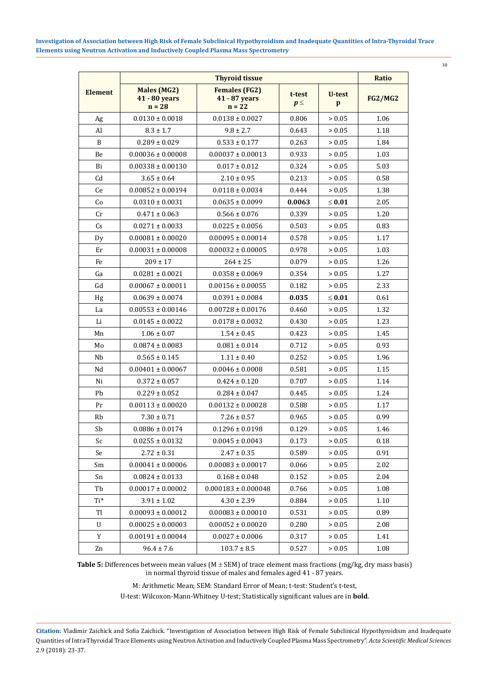| I<br>$\sim$ | ٦<br>۱.<br>$\sim$ |  |
|-------------|-------------------|--|

|                |                                                 | Ratio                                             |                    |             |                |
|----------------|-------------------------------------------------|---------------------------------------------------|--------------------|-------------|----------------|
| <b>Element</b> | <b>Males (MG2)</b><br>41 - 80 years<br>$n = 28$ | <b>Females (FG2)</b><br>41 - 87 years<br>$n = 22$ | t-test<br>$p \leq$ | U-test<br>p | <b>FG2/MG2</b> |
| Ag             | $0.0130 \pm 0.0018$                             | $0.0138 \pm 0.0027$                               | 0.806              | > 0.05      | 1.06           |
| Al             | $8.3 \pm 1.7$                                   | $9.8 \pm 2.7$                                     | 0.643              | > 0.05      | 1.18           |
| B              | $0.289 \pm 0.029$                               | $0.533 \pm 0.177$                                 | 0.263              | > 0.05      | 1.84           |
| Be             | $0.00036 \pm 0.00008$                           | $0.00037 \pm 0.00013$                             | 0.933              | > 0.05      | 1.03           |
| Bi             | $0.00338 \pm 0.00130$                           | $0.017 \pm 0.012$                                 | 0.324              | > 0.05      | 5.03           |
| C <sub>d</sub> | $3.65 \pm 0.64$                                 | $2.10 \pm 0.95$                                   | 0.213              | > 0.05      | 0.58           |
| Ce             | $0.00852 \pm 0.00194$                           | $0.0118 \pm 0.0034$                               | 0.444              | > 0.05      | 1.38           |
| Co             | $0.0310 \pm 0.0031$                             | $0.0635 \pm 0.0099$                               | 0.0063             | $\leq 0.01$ | 2.05           |
| Cr             | $0.471 \pm 0.063$                               | $0.566 \pm 0.076$                                 | 0.339              | > 0.05      | 1.20           |
| Cs             | $0.0271 \pm 0.0033$                             | $0.0225 \pm 0.0056$                               | 0.503              | > 0.05      | 0.83           |
| Dy             | $0.00081 \pm 0.00020$                           | $0.00095 \pm 0.00014$                             | 0.578              | > 0.05      | 1.17           |
| Er             | $0.00031 \pm 0.00008$                           | $0.00032 \pm 0.00005$                             | 0.978              | > 0.05      | 1.03           |
| Fe             | $209 \pm 17$                                    | $264 \pm 25$                                      | 0.079              | > 0.05      | 1.26           |
| Ga             | $0.0281 \pm 0.0021$                             | $0.0358 \pm 0.0069$                               | 0.354              | > 0.05      | 1.27           |
| Gd             | $0.00067 \pm 0.00011$                           | $0.00156 \pm 0.00055$                             | 0.182              | > 0.05      | 2.33           |
| Hg             | $0.0639 \pm 0.0074$                             | $0.0391 \pm 0.0084$                               | 0.035              | $\leq 0.01$ | 0.61           |
| La             | $0.00553 \pm 0.00146$                           | $0.00728 \pm 0.00176$                             | 0.460              | > 0.05      | 1.32           |
| Li             | $0.0145 \pm 0.0022$                             | $0.0178 \pm 0.0032$                               | 0.430              | > 0.05      | 1.23           |
| Mn             | $1.06 \pm 0.07$                                 | $1.54 \pm 0.45$                                   | 0.423              | > 0.05      | 1.45           |
| Mo             | $0.0874 \pm 0.0083$                             | $0.081 \pm 0.014$                                 | 0.712              | > 0.05      | 0.93           |
| Nb             | $0.565 \pm 0.145$                               | $1.11 \pm 0.40$                                   | 0.252              | > 0.05      | 1.96           |
| Nd             | $0.00401 \pm 0.00067$                           | $0.0046 \pm 0.0008$                               | 0.581              | > 0.05      | 1.15           |
| Ni             | $0.372 \pm 0.057$                               | $0.424 \pm 0.120$                                 | 0.707              | > 0.05      | 1.14           |
| Pb             | $0.229 \pm 0.052$                               | $0.284 \pm 0.047$                                 | 0.445              | > 0.05      | 1.24           |
| Pr             | $0.00113 \pm 0.00020$                           | $0.00132 \pm 0.00028$                             | 0.588              | > 0.05      | 1.17           |
| <b>Rb</b>      | $7.30 \pm 0.71$                                 | $7.26 \pm 0.57$                                   | 0.965              | > 0.05      | 0.99           |
| Sb             | $0.0886 \pm 0.0174$                             | $0.1296 \pm 0.0198$                               | 0.129              | > 0.05      | 1.46           |
| Sc             | $0.0255 \pm 0.0132$                             | $0.0045 \pm 0.0043$                               | 0.173              | > 0.05      | 0.18           |
| Se             | $2.72 \pm 0.31$                                 | $2.47 \pm 0.35$                                   | 0.589              | > 0.05      | 0.91           |
| Sm             | $0.00041 \pm 0.00006$                           | $0.00083 \pm 0.00017$                             | 0.066              | > 0.05      | 2.02           |
| Sn             | $0.0824 \pm 0.0133$                             | $0.168 \pm 0.048$                                 | 0.152              | > 0.05      | 2.04           |
| Tb             | $0.00017 \pm 0.00002$                           | $0.000183 \pm 0.000048$                           | 0.766              | > 0.05      | 1.08           |
| Ti*            | $3.91 \pm 1.02$                                 | $4.30 \pm 2.39$                                   | 0.884              | > 0.05      | 1.10           |
| Tl             | $0.00093 \pm 0.00012$                           | $0.00083 \pm 0.00010$                             | 0.531              | > 0.05      | 0.89           |
| U              | $0.00025 \pm 0.00003$                           | $0.00052 \pm 0.00020$                             | 0.280              | > 0.05      | 2.08           |
| Y              | $0.00191 \pm 0.00044$                           | $0.0027 \pm 0.0006$                               | 0.317              | > 0.05      | 1.41           |
| Zn             | $96.4 \pm 7.6$                                  | $103.7 \pm 8.5$                                   | 0.527              | > 0.05      | 1.08           |

**Table 5:** Differences between mean values (M ± SEM) of trace element mass fractions (mg/kg, dry mass basis) in normal thyroid tissue of males and females aged 41 - 87 years.

M: Arithmetic Mean; SEM: Standard Error of Mean; t-test: Student's t-test,

U-test: Wilcoxon-Mann-Whitney U-test; Statistically significant values are in **bold**.

**Citation:** Vladimir Zaichick and Sofia Zaichick. "Investigation of Association between High Risk of Female Subclinical Hypothyroidism and Inadequate Quantities of Intra-Thyroidal Trace Elements using Neutron Activation and Inductively Coupled Plasma Mass Spectrometry". *Acta Scientific Medical Sciences* 2.9 (2018): 23-37.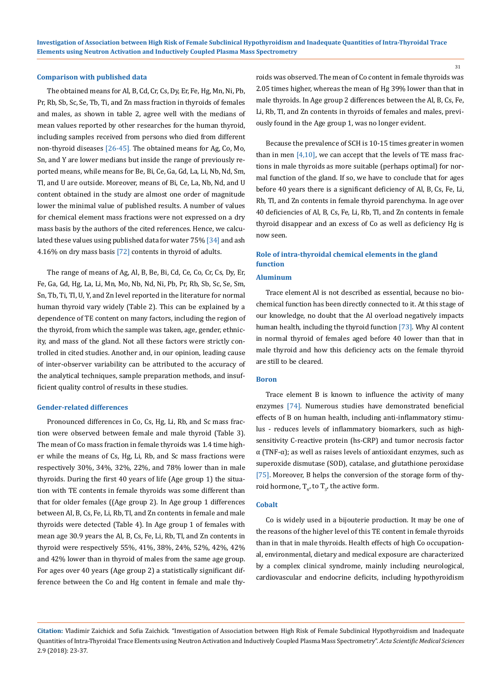#### **Comparison with published data**

The obtained means for Al, B, Cd, Cr, Cs, Dy, Er, Fe, Hg, Mn, Ni, Pb, Pr, Rb, Sb, Sc, Se, Tb, Ti, and Zn mass fraction in thyroids of females and males, as shown in table 2, agree well with the medians of mean values reported by other researches for the human thyroid, including samples received from persons who died from different non-thyroid diseases [26-45]. The obtained means for Ag, Co, Mo, Sn, and Y are lower medians but inside the range of previously reported means, while means for Be, Bi, Ce, Ga, Gd, La, Li, Nb, Nd, Sm, Tl, and U are outside. Moreover, means of Bi, Ce, La, Nb, Nd, and U content obtained in the study are almost one order of magnitude lower the minimal value of published results. A number of values for chemical element mass fractions were not expressed on a dry mass basis by the authors of the cited references. Hence, we calculated these values using published data for water 75% [34] and ash 4.16% on dry mass basis [72] contents in thyroid of adults.

The range of means of Ag, Al, B, Be, Bi, Cd, Ce, Co, Cr, Cs, Dy, Er, Fe, Ga, Gd, Hg, La, Li, Mn, Mo, Nb, Nd, Ni, Pb, Pr, Rb, Sb, Sc, Se, Sm, Sn, Tb, Ti, Tl, U, Y, and Zn level reported in the literature for normal human thyroid vary widely (Table 2). This can be explained by a dependence of TE content on many factors, including the region of the thyroid, from which the sample was taken, age, gender, ethnicity, and mass of the gland. Not all these factors were strictly controlled in cited studies. Another and, in our opinion, leading cause of inter-observer variability can be attributed to the accuracy of the analytical techniques, sample preparation methods, and insufficient quality control of results in these studies.

#### **Gender-related differences**

Pronounced differences in Co, Cs, Hg, Li, Rb, and Sc mass fraction were observed between female and male thyroid (Table 3). The mean of Co mass fraction in female thyroids was 1.4 time higher while the means of Cs, Hg, Li, Rb, and Sc mass fractions were respectively 30%, 34%, 32%, 22%, and 78% lower than in male thyroids. During the first 40 years of life (Age group 1) the situation with TE contents in female thyroids was some different than that for older females ((Age group 2). In Age group 1 differences between Al, B, Cs, Fe, Li, Rb, Tl, and Zn contents in female and male thyroids were detected (Table 4). In Age group 1 of females with mean age 30.9 years the Al, B, Cs, Fe, Li, Rb, Tl, and Zn contents in thyroid were respectively 55%, 41%, 38%, 24%, 52%, 42%, 42% and 42% lower than in thyroid of males from the same age group. For ages over 40 years (Age group 2) a statistically significant difference between the Co and Hg content in female and male thyroids was observed. The mean of Co content in female thyroids was 2.05 times higher, whereas the mean of Hg 39% lower than that in male thyroids. In Age group 2 differences between the Al, B, Cs, Fe, Li, Rb, Tl, and Zn contents in thyroids of females and males, previously found in the Age group 1, was no longer evident.

Because the prevalence of SCH is 10-15 times greater in women than in men  $[4,10]$ , we can accept that the levels of TE mass fractions in male thyroids as more suitable (perhaps optimal) for normal function of the gland. If so, we have to conclude that for ages before 40 years there is a significant deficiency of Al, B, Cs, Fe, Li, Rb, Tl, and Zn contents in female thyroid parenchyma. In age over 40 deficiencies of Al, B, Cs, Fe, Li, Rb, Tl, and Zn contents in female thyroid disappear and an excess of Co as well as deficiency Hg is now seen.

# **Role of intra-thyroidal chemical elements in the gland function**

#### **Aluminum**

Trace element Al is not described as essential, because no biochemical function has been directly connected to it. At this stage of our knowledge, no doubt that the Al overload negatively impacts human health, including the thyroid function [73]. Why Al content in normal thyroid of females aged before 40 lower than that in male thyroid and how this deficiency acts on the female thyroid are still to be cleared.

## **Boron**

Trace element B is known to influence the activity of many enzymes [74]. Numerous studies have demonstrated beneficial effects of B on human health, including anti-inflammatory stimulus - reduces levels of inflammatory biomarkers, such as highsensitivity C-reactive protein (hs-CRP) and tumor necrosis factor  $\alpha$  (TNF- $\alpha$ ); as well as raises levels of antioxidant enzymes, such as superoxide dismutase (SOD), catalase, and glutathione peroxidase [75]. Moreover, B helps the conversion of the storage form of thyroid hormone,  $T_{4}$ , to  $T_{3}$ , the active form.

#### **Cobalt**

Co is widely used in a bijouterie production. It may be one of the reasons of the higher level of this TE content in female thyroids than in that in male thyroids. Health effects of high Co occupational, environmental, dietary and medical exposure are characterized by a complex clinical syndrome, mainly including neurological, cardiovascular and endocrine deficits, including hypothyroidism

**Citation:** Vladimir Zaichick and Sofia Zaichick. "Investigation of Association between High Risk of Female Subclinical Hypothyroidism and Inadequate Quantities of Intra-Thyroidal Trace Elements using Neutron Activation and Inductively Coupled Plasma Mass Spectrometry". *Acta Scientific Medical Sciences* 2.9 (2018): 23-37.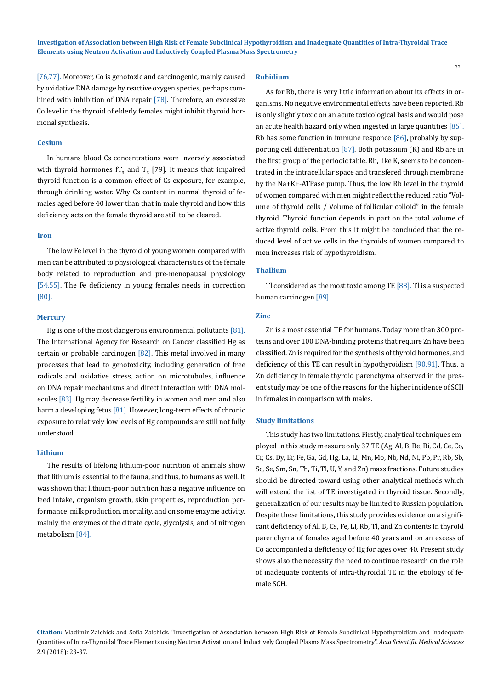[76,77]. Moreover, Co is genotoxic and carcinogenic, mainly caused by oxidative DNA damage by reactive oxygen species, perhaps combined with inhibition of DNA repair [78]. Therefore, an excessive Co level in the thyroid of elderly females might inhibit thyroid hormonal synthesis.

## **Cesium**

In humans blood Cs concentrations were inversely associated with thyroid hormones  $T_3$  and  $T_3$  [79]. It means that impaired thyroid function is a common effect of Cs exposure, for example, through drinking water. Why Cs content in normal thyroid of females aged before 40 lower than that in male thyroid and how this deficiency acts on the female thyroid are still to be cleared.

#### **Iron**

The low Fe level in the thyroid of young women compared with men can be attributed to physiological characteristics of the female body related to reproduction and pre-menopausal physiology [54,55]. The Fe deficiency in young females needs in correction [80].

## **Mercury**

Hg is one of the most dangerous environmental pollutants [81]. The International Agency for Research on Cancer classified Hg as certain or probable carcinogen [82]. This metal involved in many processes that lead to genotoxicity, including generation of free radicals and oxidative stress, action on microtubules, influence on DNA repair mechanisms and direct interaction with DNA molecules [83]. Hg may decrease fertility in women and men and also harm a developing fetus [81]. However, long-term effects of chronic exposure to relatively low levels of Hg compounds are still not fully understood.

## **Lithium**

The results of lifelong lithium-poor nutrition of animals show that lithium is essential to the fauna, and thus, to humans as well. It was shown that lithium-poor nutrition has a negative influence on feed intake, organism growth, skin properties, reproduction performance, milk production, mortality, and on some enzyme activity, mainly the enzymes of the citrate cycle, glycolysis, and of nitrogen metabolism [84].

## **Rubidium**

As for Rb, there is very little information about its effects in organisms. No negative environmental effects have been reported. Rb is only slightly toxic on an acute toxicological basis and would pose an acute health hazard only when ingested in large quantities [85]. Rb has some function in immune responce [86], probably by supporting cell differentiation [87]. Both potassium (K) and Rb are in the first group of the periodic table. Rb, like K, seems to be concentrated in the intracellular space and transfered through membrane by the Na+K+-ATPase pump. Thus, the low Rb level in the thyroid of women compared with men might reflect the reduced ratio "Volume of thyroid cells / Volume of follicular colloid" in the female thyroid. Thyroid function depends in part on the total volume of active thyroid cells. From this it might be concluded that the reduced level of active cells in the thyroids of women compared to men increases risk of hypothyroidism.

## **Thallium**

Tl considered as the most toxic among TE [88]. Tl is a suspected human carcinogen [89].

## **Zinc**

Zn is a most essential TE for humans. Today more than 300 proteins and over 100 DNA-binding proteins that require Zn have been classified. Zn is required for the synthesis of thyroid hormones, and deficiency of this TE can result in hypothyroidism [90,91]. Thus, a Zn deficiency in female thyroid parenchyma observed in the present study may be one of the reasons for the higher incidence of SCH in females in comparison with males.

## **Study limitations**

This study has two limitations. Firstly, analytical techniques employed in this study measure only 37 TE (Ag, Al, B, Be, Bi, Cd, Ce, Co, Cr, Cs, Dy, Er, Fe, Ga, Gd, Hg, La, Li, Mn, Mo, Nb, Nd, Ni, Pb, Pr, Rb, Sb, Sc, Se, Sm, Sn, Tb, Ti, Tl, U, Y, and Zn) mass fractions. Future studies should be directed toward using other analytical methods which will extend the list of TE investigated in thyroid tissue. Secondly, generalization of our results may be limited to Russian population. Despite these limitations, this study provides evidence on a significant deficiency of Al, B, Cs, Fe, Li, Rb, Tl, and Zn contents in thyroid parenchyma of females aged before 40 years and on an excess of Co accompanied a deficiency of Hg for ages over 40. Present study shows also the necessity the need to continue research on the role of inadequate contents of intra-thyroidal TE in the etiology of female SCH.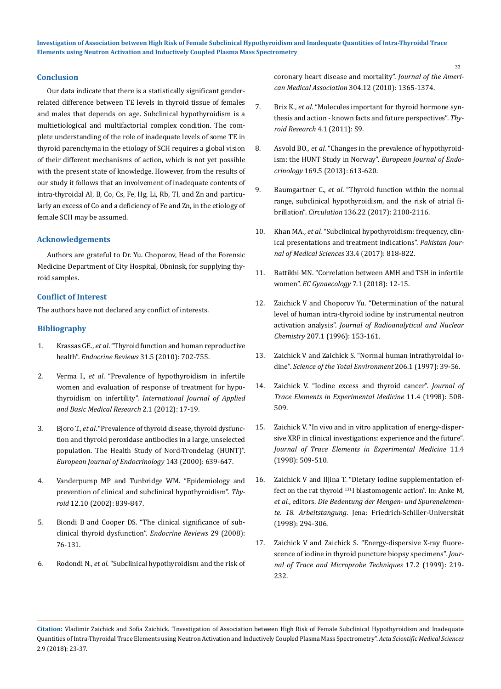## **Conclusion**

Our data indicate that there is a statistically significant genderrelated difference between TE levels in thyroid tissue of females and males that depends on age. Subclinical hypothyroidism is a multietiological and multifactorial complex condition. The complete understanding of the role of inadequate levels of some TE in thyroid parenchyma in the etiology of SCH requires a global vision of their different mechanisms of action, which is not yet possible with the present state of knowledge. However, from the results of our study it follows that an involvement of inadequate contents of intra-thyroidal Al, B, Co, Cs, Fe, Hg, Li, Rb, Tl, and Zn and particularly an excess of Co and a deficiency of Fe and Zn, in the etiology of female SCH may be assumed.

## **Acknowledgements**

Authors are grateful to Dr. Yu. Choporov, Head of the Forensic Medicine Department of City Hospital, Obninsk, for supplying thyroid samples.

## **Conflict of Interest**

The authors have not declared any conflict of interests.

# **Bibliography**

- 1. Krassas GE., *et al*[. "Thyroid function and human reproductive](https://www.ncbi.nlm.nih.gov/pubmed/20573783) health". *[Endocrine Reviews](https://www.ncbi.nlm.nih.gov/pubmed/20573783)* 31.5 (2010): 702-755.
- 2. Verma I., *et al*[. "Prevalence of hypothyroidism in infertile](https://www.ncbi.nlm.nih.gov/pmc/articles/PMC3657979/) [women and evaluation of response of treatment for hypo](https://www.ncbi.nlm.nih.gov/pmc/articles/PMC3657979/)thyroidism on infertility". *[International Journal of Applied](https://www.ncbi.nlm.nih.gov/pmc/articles/PMC3657979/) [and Basic Medical Research](https://www.ncbi.nlm.nih.gov/pmc/articles/PMC3657979/)* 2.1 (2012): 17-19.
- 3. Bjoro T., *et al*[. "Prevalence of thyroid disease, thyroid dysfunc](https://www.ncbi.nlm.nih.gov/pubmed/11078988)[tion and thyroid peroxidase antibodies in a large, unselected](https://www.ncbi.nlm.nih.gov/pubmed/11078988) [population. The Health Study of Nord-Trondelag \(HUNT\)".](https://www.ncbi.nlm.nih.gov/pubmed/11078988) *[European Journal of Endocrinology](https://www.ncbi.nlm.nih.gov/pubmed/11078988)* 143 (2000): 639-647.
- 4. [Vanderpump MP and Tunbridge WM. "Epidemiology and](https://www.ncbi.nlm.nih.gov/pubmed/12487765) [prevention of clinical and subclinical hypothyroidism".](https://www.ncbi.nlm.nih.gov/pubmed/12487765) *Thyroid* [12.10 \(2002\): 839-847.](https://www.ncbi.nlm.nih.gov/pubmed/12487765)
- 5. [Biondi B and Cooper DS. "The clinical significance of sub](https://www.ncbi.nlm.nih.gov/pubmed/17991805)[clinical thyroid dysfunction".](https://www.ncbi.nlm.nih.gov/pubmed/17991805) *Endocrine Reviews* 29 (2008): [76-131.](https://www.ncbi.nlm.nih.gov/pubmed/17991805)
- 6. Rodondi N., *et al*[. "Subclinical hypothyroidism and the risk of](https://www.ncbi.nlm.nih.gov/pubmed/20858880)

[coronary heart disease and mortality".](https://www.ncbi.nlm.nih.gov/pubmed/20858880) *Journal of the American Medical Association* [304.12 \(2010\): 1365-1374.](https://www.ncbi.nlm.nih.gov/pubmed/20858880)

- 7. Brix K., *et al*[. "Molecules important for thyroid hormone syn](https://www.ncbi.nlm.nih.gov/pubmed/21835056)[thesis and action - known facts and future perspectives".](https://www.ncbi.nlm.nih.gov/pubmed/21835056) *Thy[roid Research](https://www.ncbi.nlm.nih.gov/pubmed/21835056)* 4.1 (2011): S9.
- 8. Asvold BO., *et al*[. "Changes in the prevalence of hypothyroid](https://www.ncbi.nlm.nih.gov/pubmed/23975540)[ism: the HUNT Study in Norway".](https://www.ncbi.nlm.nih.gov/pubmed/23975540) *European Journal of Endocrinology* [169.5 \(2013\): 613-620.](https://www.ncbi.nlm.nih.gov/pubmed/23975540)
- 9. Baumgartner C., *et al*[. "Thyroid function within the normal](https://www.ncbi.nlm.nih.gov/pubmed/29061566)  [range, subclinical hypothyroidism, and the risk of atrial fi](https://www.ncbi.nlm.nih.gov/pubmed/29061566)brillation". *Circulation* [136.22 \(2017\): 2100-2116.](https://www.ncbi.nlm.nih.gov/pubmed/29061566)
- 10. Khan MA., *et al*[. "Subclinical hypothyroidism: frequency, clin](https://www.ncbi.nlm.nih.gov/pmc/articles/PMC5648945/)[ical presentations and treatment indications".](https://www.ncbi.nlm.nih.gov/pmc/articles/PMC5648945/) *Pakistan Jour[nal of Medical Sciences](https://www.ncbi.nlm.nih.gov/pmc/articles/PMC5648945/)* 33.4 (2017): 818-822.
- 11. [Battikhi MN. "Correlation between AMH and TSH in infertile](https://www.ecronicon.com/ecgy/pdf/ECGY-07-00182.pdf)  women". *[EC Gynaecology](https://www.ecronicon.com/ecgy/pdf/ECGY-07-00182.pdf)* 7.1 (2018): 12-15.
- 12. [Zaichick V and Choporov Yu. "Determination of the natural](https://link.springer.com/article/10.1007/BF02036535)  [level of human intra-thyroid iodine by instrumental neutron](https://link.springer.com/article/10.1007/BF02036535)  activation analysis". *[Journal of Radioanalytical and Nuclear](https://link.springer.com/article/10.1007/BF02036535)  Chemistry* [207.1 \(1996\): 153-161.](https://link.springer.com/article/10.1007/BF02036535)
- 13. [Zaichick V and Zaichick S. "Normal human intrathyroidal io](https://www.ncbi.nlm.nih.gov/pubmed/9373990)dine". *[Science of the Total Environment](https://www.ncbi.nlm.nih.gov/pubmed/9373990)* 206.1 (1997): 39-56.
- 14. [Zaichick V. "Iodine excess and thyroid cancer".](https://www.sciencedirect.com/science/article/pii/S0048969797002155) *Journal of [Trace Elements in Experimental Medicine](https://www.sciencedirect.com/science/article/pii/S0048969797002155)* 11.4 (1998): 508- [509.](https://www.sciencedirect.com/science/article/pii/S0048969797002155)
- 15. [Zaichick V. "In vivo and in vitro application of energy-disper](https://www.scirp.org/(S(351jmbntvnsjt1aadkposzje))/reference/ReferencesPapers.aspx?ReferenceID=1490208)[sive XRF in clinical investigations: experience and the future".](https://www.scirp.org/(S(351jmbntvnsjt1aadkposzje))/reference/ReferencesPapers.aspx?ReferenceID=1490208)  *[Journal of Trace Elements in Experimental Medicine](https://www.scirp.org/(S(351jmbntvnsjt1aadkposzje))/reference/ReferencesPapers.aspx?ReferenceID=1490208)* 11.4 [\(1998\): 509-510.](https://www.scirp.org/(S(351jmbntvnsjt1aadkposzje))/reference/ReferencesPapers.aspx?ReferenceID=1490208)
- 16. Zaichick V and Iljina T. "Dietary iodine supplementation effect on the rat thyroid 131I blastomogenic action". In: Anke M, *et al*., editors. *Die Bedentung der Mengen- und Spurenelemente. 18. Arbeitstangung*. Jena: Friedrich-Schiller-Universität (1998): 294-306.
- 17. [Zaichick V and Zaichick S. "Energy-dispersive X-ray fluore](https://eurekamag.com/research/010/588/010588090.php)[scence of iodine in thyroid puncture biopsy specimens".](https://eurekamag.com/research/010/588/010588090.php) *Jour[nal of Trace and Microprobe Techniques](https://eurekamag.com/research/010/588/010588090.php)* 17.2 (1999): 219- [232.](https://eurekamag.com/research/010/588/010588090.php)

**Citation:** Vladimir Zaichick and Sofia Zaichick. "Investigation of Association between High Risk of Female Subclinical Hypothyroidism and Inadequate Quantities of Intra-Thyroidal Trace Elements using Neutron Activation and Inductively Coupled Plasma Mass Spectrometry". *Acta Scientific Medical Sciences* 2.9 (2018): 23-37.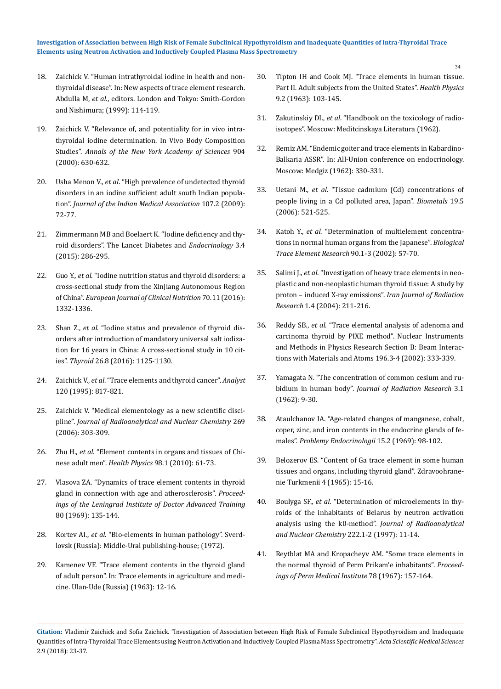- 18. Zaichick V. "Human intrathyroidal iodine in health and nonthyroidal disease". In: New aspects of trace element research. Abdulla M, *et al*., editors. London and Tokyo: Smith-Gordon and Nishimura; (1999): 114-119.
- 19. [Zaichick V. "Relevance of, and potentiality for in vivo intra](https://www.researchgate.net/publication/12452632_Relevance_of_and_Potentiality_for_in_Vivo_Intrathyroidal_Iodine_Determination)[thyroidal iodine determination. In Vivo Body Composition](https://www.researchgate.net/publication/12452632_Relevance_of_and_Potentiality_for_in_Vivo_Intrathyroidal_Iodine_Determination) Studies". *[Annals of the New York Academy of Sciences](https://www.researchgate.net/publication/12452632_Relevance_of_and_Potentiality_for_in_Vivo_Intrathyroidal_Iodine_Determination)* 904 [\(2000\): 630-632.](https://www.researchgate.net/publication/12452632_Relevance_of_and_Potentiality_for_in_Vivo_Intrathyroidal_Iodine_Determination)
- 20. Usha Menon V., *et al*[. "High prevalence of undetected thyroid](https://www.ncbi.nlm.nih.gov/pubmed/19585813) [disorders in an iodine sufficient adult south Indian popula](https://www.ncbi.nlm.nih.gov/pubmed/19585813)tion". *[Journal of the Indian Medical Association](https://www.ncbi.nlm.nih.gov/pubmed/19585813)* 107.2 (2009): [72-77.](https://www.ncbi.nlm.nih.gov/pubmed/19585813)
- 21. [Zimmermann MB and Boelaert K. "Iodine deficiency and thy](https://www.ncbi.nlm.nih.gov/pubmed/25591468)[roid disorders". The Lancet Diabetes and](https://www.ncbi.nlm.nih.gov/pubmed/25591468) *Endocrinology* 3.4 [\(2015\): 286-295.](https://www.ncbi.nlm.nih.gov/pubmed/25591468)
- 22. Guo Y., *et al*[. "Iodine nutrition status and thyroid disorders: a](https://www.ncbi.nlm.nih.gov/pubmed/27188916) [cross-sectional study from the Xinjiang Autonomous Region](https://www.ncbi.nlm.nih.gov/pubmed/27188916) of China". *[European Journal of Clinical Nutrition](https://www.ncbi.nlm.nih.gov/pubmed/27188916)* 70.11 (2016): [1332-1336.](https://www.ncbi.nlm.nih.gov/pubmed/27188916)
- 23. Shan Z., *et al*[. "Iodine status and prevalence of thyroid dis](https://www.ncbi.nlm.nih.gov/pubmed/27370068)[orders after introduction of mandatory universal salt iodiza](https://www.ncbi.nlm.nih.gov/pubmed/27370068)[tion for 16 years in China: A cross-sectional study in 10 cit](https://www.ncbi.nlm.nih.gov/pubmed/27370068)ies". *Thyroid* [26.8 \(2016\): 1125-1130.](https://www.ncbi.nlm.nih.gov/pubmed/27370068)
- 24. Zaichick V., *et al*[. "Trace elements and thyroid cancer".](https://www.ncbi.nlm.nih.gov/pubmed/7741233) *Analyst* [120 \(1995\): 817-821.](https://www.ncbi.nlm.nih.gov/pubmed/7741233)
- 25. [Zaichick V. "Medical elementology as a new scientific disci](https://link.springer.com/article/10.1007/s10967-006-0383-3)pline". *[Journal of Radioanalytical and Nuclear Chemistry](https://link.springer.com/article/10.1007/s10967-006-0383-3)* 269 [\(2006\): 303-309.](https://link.springer.com/article/10.1007/s10967-006-0383-3)
- 26. Zhu H., *et al*[. "Element contents in organs and tissues of Chi](https://www.ncbi.nlm.nih.gov/pubmed/19959952)nese adult men". *Health Physics* [98.1 \(2010\): 61-73.](https://www.ncbi.nlm.nih.gov/pubmed/19959952)
- 27. Vlasova ZA. "Dynamics of trace element contents in thyroid gland in connection with age and atherosclerosis". *Proceedings of the Leningrad Institute of Doctor Advanced Training* 80 (1969): 135-144.
- 28. Kortev AI., *et al*. "Bio-elements in human pathology". Sverdlovsk (Russia): Middle-Ural publishing-house; (1972).
- 29. Kamenev VF. "Trace element contents in the thyroid gland of adult person". In: Trace elements in agriculture and medicine. Ulan-Ude (Russia) (1963): 12-16.
- 30. [Tipton IH and Cook MJ. "Trace elements in human tissue.](https://journals.lww.com/health-physics/Abstract/1963/02000/Trace_Elements_in_Human_Tissue_Part_II__Adult.2.aspx) [Part II. Adult subjects from the United States".](https://journals.lww.com/health-physics/Abstract/1963/02000/Trace_Elements_in_Human_Tissue_Part_II__Adult.2.aspx) *Health Physics* [9.2 \(1963\): 103-145.](https://journals.lww.com/health-physics/Abstract/1963/02000/Trace_Elements_in_Human_Tissue_Part_II__Adult.2.aspx)
- 31. Zakutinskiy DI., *et al*. "Handbook on the toxicology of radioisotopes". Moscow: Meditcinskaya Literatura (1962).
- 32. Remiz AM. "Endemic goiter and trace elements in Kabardino-Balkaria АSSR". In: All-Union conference on endocrinology. Moscow: Medgiz (1962): 330-331.
- 33. Uetani M., *et al*[. "Tissue cadmium \(Cd\) concentrations of](https://www.ncbi.nlm.nih.gov/pubmed/16937258) [people living in a Cd polluted area, Japan".](https://www.ncbi.nlm.nih.gov/pubmed/16937258) *Biometals* 19.5 [\(2006\): 521-525.](https://www.ncbi.nlm.nih.gov/pubmed/16937258)
- 34. Katoh Y., *et al*[. "Determination of multielement concentra](https://link.springer.com/article/10.1385/BTER:90:1-3:57)[tions in normal human organs from the Japanese".](https://link.springer.com/article/10.1385/BTER:90:1-3:57) *Biological [Trace Element Research](https://link.springer.com/article/10.1385/BTER:90:1-3:57)* 90.1-3 (2002): 57-70.
- 35. Salimi J., *et al*[. "Investigation of heavy trace elements in neo](https://inis.iaea.org/search/search.aspx?orig_q=RN:35074722)[plastic and non-neoplastic human thyroid tissue: A study by](https://inis.iaea.org/search/search.aspx?orig_q=RN:35074722) [proton – induced X-ray emissions".](https://inis.iaea.org/search/search.aspx?orig_q=RN:35074722) *Iran Journal of Radiation Research* [1.4 \(2004\): 211-216.](https://inis.iaea.org/search/search.aspx?orig_q=RN:35074722)
- 36. Reddy SB., *et al*. "Trace elemental analysis of adenoma and carcinoma thyroid by PIXE method". Nuclear Instruments and Methods in Physics Research Section B: Beam Interactions with Materials and Atoms 196.3-4 (2002): 333-339.
- 37. [Yamagata N. "The concentration of common cesium and ru](https://academic.oup.com/jrr/article/3/1/9/951414)bidium in human body". *[Journal of Radiation Research](https://academic.oup.com/jrr/article/3/1/9/951414)* 3.1 [\(1962\): 9-30.](https://academic.oup.com/jrr/article/3/1/9/951414)
- 38. [Ataulchanov IA. "Age-related changes of manganese, cobalt,](https://www.ncbi.nlm.nih.gov/pubmed/5807109) [coper, zinc, and iron contents in the endocrine glands of fe](https://www.ncbi.nlm.nih.gov/pubmed/5807109)males". *[Problemy Endocrinologii](https://www.ncbi.nlm.nih.gov/pubmed/5807109)* 15.2 (1969): 98-102.
- 39. Belozerov ES. "Content of Ga trace element in some human tissues and organs, including thyroid gland". Zdravoohranenie Turkmenii 4 (1965): 15-16.
- 40. Boulyga SF., *et al*[. "Determination of microelements in thy](https://link.springer.com/article/10.1007/BF02034238)[roids of the inhabitants of Belarus by neutron activation](https://link.springer.com/article/10.1007/BF02034238) [analysis using the k0-method".](https://link.springer.com/article/10.1007/BF02034238) *Journal of Radioanalytical [and Nuclear Chemistry](https://link.springer.com/article/10.1007/BF02034238)* 222.1-2 (1997): 11-14.
- 41. Reytblat MA and Kropacheyv AM. "Some trace elements in the normal thyroid of Perm Prikam'e inhabitants". *Proceedings of Perm Medical Institute* 78 (1967): 157-164.

**Citation:** Vladimir Zaichick and Sofia Zaichick. "Investigation of Association between High Risk of Female Subclinical Hypothyroidism and Inadequate Quantities of Intra-Thyroidal Trace Elements using Neutron Activation and Inductively Coupled Plasma Mass Spectrometry". *Acta Scientific Medical Sciences* 2.9 (2018): 23-37.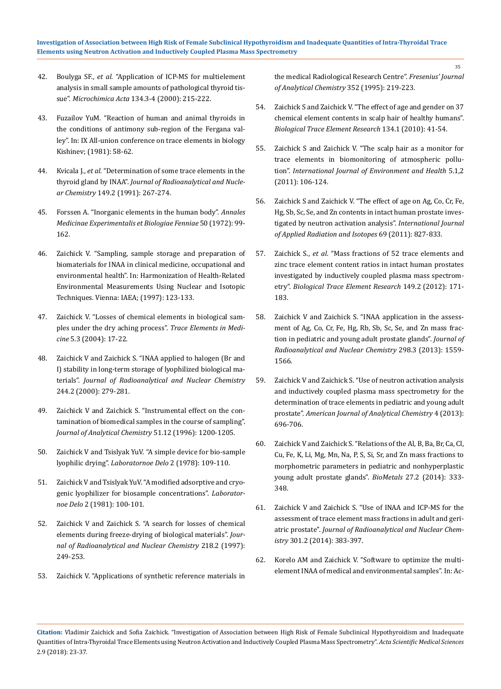- 42. Boulyga SF., *et al*[. "Application of ICP-MS for multielement](https://link.springer.com/article/10.1007/s006040050069) [analysis in small sample amounts of pathological thyroid tis](https://link.springer.com/article/10.1007/s006040050069)sue". *Microchimica Acta* [134.3-4 \(2000\): 215-222.](https://link.springer.com/article/10.1007/s006040050069)
- 43. Fuzailov YuM. "Reaction of human and animal thyroids in the conditions of antimony sub-region of the Fergana valley". In: IX All-union conference on trace elements in biology Kishinev; (1981): 58-62.
- 44. Kvicala J., *et al*[. "Determination of some trace elements in the](https://link.springer.com/article/10.1007/BF02062052) thyroid gland by INAA". *[Journal of Radioanalytical and Nucle](https://link.springer.com/article/10.1007/BF02062052)ar Chemistry* [149.2 \(1991\): 267-274.](https://link.springer.com/article/10.1007/BF02062052)
- 45. [Forssen A. "Inorganic elements in the human body".](https://www.ncbi.nlm.nih.gov/pubmed/5081903) *Annales [Medicinae Experimentalis et Biologiae Fenniae](https://www.ncbi.nlm.nih.gov/pubmed/5081903)* 50 (1972): 99- [162.](https://www.ncbi.nlm.nih.gov/pubmed/5081903)
- 46. [Zaichick V. "Sampling, sample storage and preparation of](https://inis.iaea.org/search/search.aspx?orig_q=RN:29019688) [biomaterials for INAA in clinical medicine, occupational and](https://inis.iaea.org/search/search.aspx?orig_q=RN:29019688) [environmental health". In: Harmonization of Health-Related](https://inis.iaea.org/search/search.aspx?orig_q=RN:29019688) [Environmental Measurements Using Nuclear and Isotopic](https://inis.iaea.org/search/search.aspx?orig_q=RN:29019688) [Techniques. Vienna: IAEA; \(1997\): 123-133.](https://inis.iaea.org/search/search.aspx?orig_q=RN:29019688)
- 47. Zaichick V. "Losses of chemical elements in biological samples under the dry aching process". *Trace Elements in Medicine* 5.3 (2004): 17-22.
- 48. [Zaichick V and Zaichick S. "INAA applied to halogen \(Br and](https://link.springer.com/article/10.1023/A:1006734114204) [I\) stability in long-term storage of lyophilized biological ma](https://link.springer.com/article/10.1023/A:1006734114204)terials". *[Journal of Radioanalytical and Nuclear Chemistry](https://link.springer.com/article/10.1023/A:1006734114204)* [244.2 \(2000\): 279-281.](https://link.springer.com/article/10.1023/A:1006734114204)
- 49. [Zaichick V and Zaichick S. "Instrumental effect on the con](https://inis.iaea.org/search/search.aspx?orig_q=RN:28056394)[tamination of biomedical samples in the course of sampling".](https://inis.iaea.org/search/search.aspx?orig_q=RN:28056394) *[Journal of Analytical Chemistry](https://inis.iaea.org/search/search.aspx?orig_q=RN:28056394)* 51.12 (1996): 1200-1205.
- 50. Zaichick V and Tsislyak YuV. "A simple device for bio-sample lyophilic drying". *Laboratornoe Delo* 2 (1978): 109-110.
- 51. Zaichick V and Tsislyak YuV. "A modified adsorptive and cryogenic lyophilizer for biosample concentrations". *Laboratornoe Delo* 2 (1981): 100-101.
- 52. [Zaichick V and Zaichick S. "A search for losses of chemical](https://akademiai.com/doi/abs/10.1007/BF02039345) [elements during freeze-drying of biological materials".](https://akademiai.com/doi/abs/10.1007/BF02039345) *Jour[nal of Radioanalytical and Nuclear Chemistry](https://akademiai.com/doi/abs/10.1007/BF02039345)* 218.2 (1997): [249-253.](https://akademiai.com/doi/abs/10.1007/BF02039345)
- 53. [Zaichick V. "Applications of synthetic reference materials in](https://link.springer.com/article/10.1007/BF00322330)

[the medical Radiological Research Centre".](https://link.springer.com/article/10.1007/BF00322330) *Fresenius' Journal [of Analytical Chemistry](https://link.springer.com/article/10.1007/BF00322330)* 352 (1995): 219-223.

- 54. [Zaichick S and Zaichick V. "The effect of age and gender on 37](https://www.ncbi.nlm.nih.gov/pubmed/19629406) [chemical element contents in scalp hair of healthy humans".](https://www.ncbi.nlm.nih.gov/pubmed/19629406) *[Biological Trace Element Research](https://www.ncbi.nlm.nih.gov/pubmed/19629406)* 134.1 (2010): 41-54.
- 55. [Zaichick S and Zaichick V. "The scalp hair as a monitor for](https://www.inderscience.com/info/inarticle.php?artid=39860) [trace elements in biomonitoring of atmospheric pollu](https://www.inderscience.com/info/inarticle.php?artid=39860)tion". *[International Journal of Environment and Health](https://www.inderscience.com/info/inarticle.php?artid=39860)* 5.1,2 [\(2011\): 106-124.](https://www.inderscience.com/info/inarticle.php?artid=39860)
- 56. [Zaichick S and Zaichick V. "The effect of age on Ag, Co, Cr, Fe,](https://www.ncbi.nlm.nih.gov/pubmed/21354803) [Hg, Sb, Sc, Se, and Zn contents in intact human prostate inves](https://www.ncbi.nlm.nih.gov/pubmed/21354803)[tigated by neutron activation analysis".](https://www.ncbi.nlm.nih.gov/pubmed/21354803) *International Journal [of Applied Radiation and Isotopes](https://www.ncbi.nlm.nih.gov/pubmed/21354803)* 69 (2011): 827-833.
- 57. Zaichick S., *et al*[. "Mass fractions of 52 trace elements and](https://www.ncbi.nlm.nih.gov/pubmed/22549701) [zinc trace element content ratios in intact human prostates](https://www.ncbi.nlm.nih.gov/pubmed/22549701) [investigated by inductively coupled plasma mass spectrom](https://www.ncbi.nlm.nih.gov/pubmed/22549701)etry". *[Biological Trace Element Research](https://www.ncbi.nlm.nih.gov/pubmed/22549701)* 149.2 (2012): 171- [183.](https://www.ncbi.nlm.nih.gov/pubmed/22549701)
- 58. [Zaichick V and Zaichick S. "INAA application in the assess](https://www.researchgate.net/publication/257612120_INAA_application_in_the_assessment_of_Ag_Co_Cr_Fe_Hg_Rb_Sb_Sc_Se_and_Zn_mass_fraction_in_pediatric_and_young_adult_prostate_glands)[ment of Ag, Co, Cr, Fe, Hg, Rb, Sb, Sc, Se, and Zn mass frac](https://www.researchgate.net/publication/257612120_INAA_application_in_the_assessment_of_Ag_Co_Cr_Fe_Hg_Rb_Sb_Sc_Se_and_Zn_mass_fraction_in_pediatric_and_young_adult_prostate_glands)[tion in pediatric and young adult prostate glands".](https://www.researchgate.net/publication/257612120_INAA_application_in_the_assessment_of_Ag_Co_Cr_Fe_Hg_Rb_Sb_Sc_Se_and_Zn_mass_fraction_in_pediatric_and_young_adult_prostate_glands) *Journal of [Radioanalytical and Nuclear Chemistry](https://www.researchgate.net/publication/257612120_INAA_application_in_the_assessment_of_Ag_Co_Cr_Fe_Hg_Rb_Sb_Sc_Se_and_Zn_mass_fraction_in_pediatric_and_young_adult_prostate_glands)* 298.3 (2013): 1559- [1566.](https://www.researchgate.net/publication/257612120_INAA_application_in_the_assessment_of_Ag_Co_Cr_Fe_Hg_Rb_Sb_Sc_Se_and_Zn_mass_fraction_in_pediatric_and_young_adult_prostate_glands)
- 59. [Zaichick V and Zaichick S. "Use of neutron activation analysis](https://www.scirp.org/journal/PaperInformation.aspx?PaperID=40340) [and inductively coupled plasma mass spectrometry for the](https://www.scirp.org/journal/PaperInformation.aspx?PaperID=40340) [determination of trace elements in pediatric and young adult](https://www.scirp.org/journal/PaperInformation.aspx?PaperID=40340) prostate". *[American Journal of Analytical Chemistry](https://www.scirp.org/journal/PaperInformation.aspx?PaperID=40340)* 4 (2013): [696-706.](https://www.scirp.org/journal/PaperInformation.aspx?PaperID=40340)
- 60. [Zaichick V and Zaichick S. "Relations of the Al, B, Ba, Br, Ca, Cl,](https://www.ncbi.nlm.nih.gov/pubmed/24554283) [Cu, Fe, K, Li, Mg, Mn, Na, P, S, Si, Sr, and Zn mass fractions to](https://www.ncbi.nlm.nih.gov/pubmed/24554283)  [morphometric parameters in pediatric and nonhyperplastic](https://www.ncbi.nlm.nih.gov/pubmed/24554283) [young adult prostate glands".](https://www.ncbi.nlm.nih.gov/pubmed/24554283) *BioMetals* 27.2 (2014): 333- [348.](https://www.ncbi.nlm.nih.gov/pubmed/24554283)
- 61. [Zaichick V and Zaichick S. "Use of INAA and ICP-MS for the](https://link.springer.com/article/10.1007/s10967-014-3173-3) [assessment of trace element mass fractions in adult and geri](https://link.springer.com/article/10.1007/s10967-014-3173-3)atric prostate". *[Journal of Radioanalytical and Nuclear Chem](https://link.springer.com/article/10.1007/s10967-014-3173-3)istry* [301.2 \(2014\): 383-397.](https://link.springer.com/article/10.1007/s10967-014-3173-3)
- 62. [Korelo AM and Zaichick V. "Software to optimize the multi](https://www.scirp.org/(S(vtj3fa45qm1ean45vvffcz55))/reference/ReferencesPapers.aspx?ReferenceID=1973388)[element INAA of medical and environmental samples". In: Ac-](https://www.scirp.org/(S(vtj3fa45qm1ean45vvffcz55))/reference/ReferencesPapers.aspx?ReferenceID=1973388)

**Citation:** Vladimir Zaichick and Sofia Zaichick. "Investigation of Association between High Risk of Female Subclinical Hypothyroidism and Inadequate Quantities of Intra-Thyroidal Trace Elements using Neutron Activation and Inductively Coupled Plasma Mass Spectrometry". *Acta Scientific Medical Sciences* 2.9 (2018): 23-37.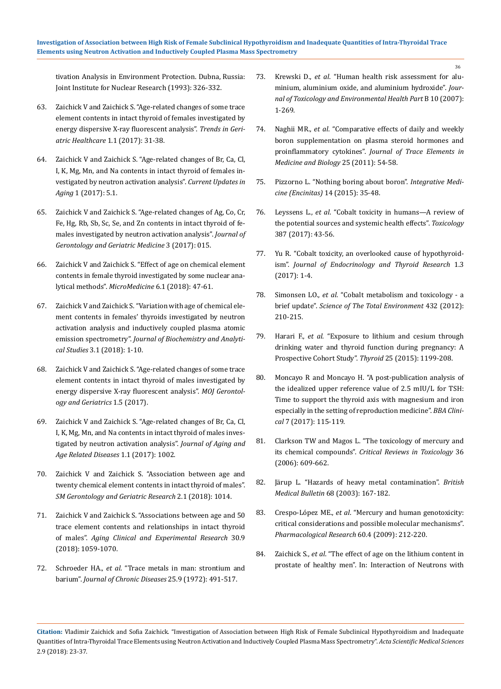[tivation Analysis in Environment Protection. Dubna, Russia:](https://www.scirp.org/(S(vtj3fa45qm1ean45vvffcz55))/reference/ReferencesPapers.aspx?ReferenceID=1973388) [Joint Institute for Nuclear Research \(1993\): 326-332.](https://www.scirp.org/(S(vtj3fa45qm1ean45vvffcz55))/reference/ReferencesPapers.aspx?ReferenceID=1973388)

- 63. [Zaichick V and Zaichick S. "Age-related changes of some trace](http://scholarlypages.org/Articles/geriatric-medicine/tghc-1-004.php?jid=geriatric-medicine) [element contents in intact thyroid of females investigated by](http://scholarlypages.org/Articles/geriatric-medicine/tghc-1-004.php?jid=geriatric-medicine) [energy dispersive X-ray fluorescent analysis".](http://scholarlypages.org/Articles/geriatric-medicine/tghc-1-004.php?jid=geriatric-medicine) *Trends in Geri[atric Healthcare](http://scholarlypages.org/Articles/geriatric-medicine/tghc-1-004.php?jid=geriatric-medicine)* 1.1 (2017): 31-38.
- 64. [Zaichick V and Zaichick S. "Age-related changes of Br, Ca, Cl,](https://www.jscimedcentral.com/Aging/aging-1-1002.php) [I, K, Mg, Mn, and Na contents in intact thyroid of females in](https://www.jscimedcentral.com/Aging/aging-1-1002.php)[vestigated by neutron activation analysis".](https://www.jscimedcentral.com/Aging/aging-1-1002.php) *Current Updates in Aging* [1 \(2017\): 5.1.](https://www.jscimedcentral.com/Aging/aging-1-1002.php)
- 65. [Zaichick V and Zaichick S. "Age-related changes of Ag, Co, Cr,](https://juniperpublishers.com/ctbeb/pdf/CTBEB.MS.ID.555644.pdf) [Fe, Hg, Rb, Sb, Sc, Se, and Zn contents in intact thyroid of fe](https://juniperpublishers.com/ctbeb/pdf/CTBEB.MS.ID.555644.pdf)[males investigated by neutron activation analysis".](https://juniperpublishers.com/ctbeb/pdf/CTBEB.MS.ID.555644.pdf) *Journal of [Gerontology and Geriatric Medicine](https://juniperpublishers.com/ctbeb/pdf/CTBEB.MS.ID.555644.pdf)* 3 (2017): 015.
- 66. [Zaichick V and Zaichick S. "Effect of age on chemical element](http://www.journals.tmkarpinski.com/index.php/mmed/article/view/33) [contents in female thyroid investigated by some nuclear ana](http://www.journals.tmkarpinski.com/index.php/mmed/article/view/33)lytical methods". *MicroMedicine* [6.1 \(2018\): 47-61.](http://www.journals.tmkarpinski.com/index.php/mmed/article/view/33)
- 67. [Zaichick V and Zaichick S. "Variation with age of chemical ele](http://www.journals.tmkarpinski.com/index.php/mmed/article/view/33)[ment contents in females' thyroids investigated by neutron](http://www.journals.tmkarpinski.com/index.php/mmed/article/view/33) [activation analysis and inductively coupled plasma atomic](http://www.journals.tmkarpinski.com/index.php/mmed/article/view/33) emission spectrometry". *[Journal of Biochemistry and Analyti](http://www.journals.tmkarpinski.com/index.php/mmed/article/view/33)cal Studies* [3.1 \(2018\): 1-10.](http://www.journals.tmkarpinski.com/index.php/mmed/article/view/33)
- 68. [Zaichick V and Zaichick S. "Age-related changes of some trace](https://www.researchgate.net/publication/320526177_Age-Related_Changes_of_Some_Trace_Element_Contents_in_Intact_Thyroid_of_Males_Investigated_by_Energy_Dispersive_X-ray_Fluorescent_Analysis) [element contents in intact thyroid of males investigated by](https://www.researchgate.net/publication/320526177_Age-Related_Changes_of_Some_Trace_Element_Contents_in_Intact_Thyroid_of_Males_Investigated_by_Energy_Dispersive_X-ray_Fluorescent_Analysis) [energy dispersive X-ray fluorescent analysis".](https://www.researchgate.net/publication/320526177_Age-Related_Changes_of_Some_Trace_Element_Contents_in_Intact_Thyroid_of_Males_Investigated_by_Energy_Dispersive_X-ray_Fluorescent_Analysis) *MOJ Gerontol[ogy and Geriatrics](https://www.researchgate.net/publication/320526177_Age-Related_Changes_of_Some_Trace_Element_Contents_in_Intact_Thyroid_of_Males_Investigated_by_Energy_Dispersive_X-ray_Fluorescent_Analysis)* 1.5 (2017).
- 69. [Zaichick V and Zaichick S. "Age-related changes of Br, Ca, Cl,](https://www.jscimedcentral.com/Aging/aging-1-1002.php) [I, K, Mg, Mn, and Na contents in intact thyroid of males inves](https://www.jscimedcentral.com/Aging/aging-1-1002.php)[tigated by neutron activation analysis".](https://www.jscimedcentral.com/Aging/aging-1-1002.php) *Journal of Aging and [Age Related Diseases](https://www.jscimedcentral.com/Aging/aging-1-1002.php)* 1.1 (2017): 1002.
- 70. Zaichick V and Zaichick S. "Association between age and twenty chemical element contents in intact thyroid of males". *SM Gerontology and Geriatric Research* 2.1 (2018): 1014.
- 71. [Zaichick V and Zaichick S. "Associations between age and 50](https://www.ncbi.nlm.nih.gov/pubmed/29396842) [trace element contents and relationships in intact thyroid](https://www.ncbi.nlm.nih.gov/pubmed/29396842) of males". *[Aging Clinical and Experimental Research](https://www.ncbi.nlm.nih.gov/pubmed/29396842)* 30.9 [\(2018\): 1059-1070.](https://www.ncbi.nlm.nih.gov/pubmed/29396842)
- 72. Schroeder HA., *et al*[. "Trace metals in man: strontium and](https://www.sciencedirect.com/science/article/pii/0021968172901506) barium". *[Journal of Chronic Diseases](https://www.sciencedirect.com/science/article/pii/0021968172901506)* 25.9 (1972): 491-517.
- 73. Krewski D., *et al*[. "Human health risk assessment for alu](https://www.ncbi.nlm.nih.gov/pmc/articles/PMC2782734/)[minium, aluminium oxide, and aluminium hydroxide".](https://www.ncbi.nlm.nih.gov/pmc/articles/PMC2782734/) *Jour[nal of Toxicology and Environmental Health Part](https://www.ncbi.nlm.nih.gov/pmc/articles/PMC2782734/)* B 10 (2007): [1-269.](https://www.ncbi.nlm.nih.gov/pmc/articles/PMC2782734/)
- 74. Naghii MR., *et al*[. "Comparative effects of daily and weekly](https://www.ncbi.nlm.nih.gov/pubmed/21129941) [boron supplementation on plasma steroid hormones and](https://www.ncbi.nlm.nih.gov/pubmed/21129941) proinflammatory cytokines". *[Journal of Trace Elements in](https://www.ncbi.nlm.nih.gov/pubmed/21129941)  [Medicine and Biology](https://www.ncbi.nlm.nih.gov/pubmed/21129941)* 25 (2011): 54-58.
- 75. [Pizzorno L. "Nothing boring about boron".](https://www.ncbi.nlm.nih.gov/pmc/articles/PMC4712861/) *Integrative Medicine (Encinitas)* [14 \(2015\): 35-48.](https://www.ncbi.nlm.nih.gov/pmc/articles/PMC4712861/)
- 76. Leyssens L., *et al*[. "Cobalt toxicity in humans—A review of](https://www.ncbi.nlm.nih.gov/pubmed/28572025) [the potential sources and systemic health effects".](https://www.ncbi.nlm.nih.gov/pubmed/28572025) *Toxicology*  [387 \(2017\): 43-56.](https://www.ncbi.nlm.nih.gov/pubmed/28572025)
- 77. [Yu R. "Cobalt toxicity, an overlooked cause of hypothyroid](https://juniperpublishers.com/jetr/pdf/JETR.MS.ID.555563.pdf)ism". *[Journal of Endocrinology and Thyroid](https://juniperpublishers.com/jetr/pdf/JETR.MS.ID.555563.pdf) Research* 1.3 [\(2017\): 1-4.](https://juniperpublishers.com/jetr/pdf/JETR.MS.ID.555563.pdf)
- 78. Simonsen LO., *et al*[. "Cobalt metabolism and toxicology a](https://www.ncbi.nlm.nih.gov/pubmed/22732165) brief update". *[Science of The Total Environment](https://www.ncbi.nlm.nih.gov/pubmed/22732165)* 432 (2012): [210-215.](https://www.ncbi.nlm.nih.gov/pubmed/22732165)
- 79. Harari F., *et al*[. "Exposure to lithium and cesium through](https://www.ncbi.nlm.nih.gov/pubmed/26332132) [drinking water and thyroid function during pregnancy: A](https://www.ncbi.nlm.nih.gov/pubmed/26332132)  [Prospective Cohort Study".](https://www.ncbi.nlm.nih.gov/pubmed/26332132) *Thyroid* 25 (2015): 1199-208.
- 80. [Moncayo R and Moncayo H. "A post-publication analysis of](https://www.ncbi.nlm.nih.gov/pubmed/28409122) [the idealized upper reference value of 2.5 mIU/L for TSH:](https://www.ncbi.nlm.nih.gov/pubmed/28409122) [Time to support the thyroid axis with magnesium and iron](https://www.ncbi.nlm.nih.gov/pubmed/28409122) [especially in the setting of reproduction medicine".](https://www.ncbi.nlm.nih.gov/pubmed/28409122) *BBA Clinical* [7 \(2017\): 115-119.](https://www.ncbi.nlm.nih.gov/pubmed/28409122)
- 81. [Clarkson TW and Magos L. "The toxicology of mercury and](https://www.ncbi.nlm.nih.gov/pubmed/16973445) its chemical compounds". *[Critical Reviews in Toxicology](https://www.ncbi.nlm.nih.gov/pubmed/16973445)* 36 [\(2006\): 609-662.](https://www.ncbi.nlm.nih.gov/pubmed/16973445)
- 82. [Järup L. "Hazards of heavy metal contamination".](https://www.ncbi.nlm.nih.gov/pubmed/14757716) *British Medical Bulletin* [68 \(2003\): 167-182.](https://www.ncbi.nlm.nih.gov/pubmed/14757716)
- 83. Crespo-López ME., *et al*[. "Mercury and human genotoxicity:](https://www.ncbi.nlm.nih.gov/pubmed/19446469) [critical considerations and possible molecular mechanisms".](https://www.ncbi.nlm.nih.gov/pubmed/19446469) *[Pharmacological Research](https://www.ncbi.nlm.nih.gov/pubmed/19446469)* 60.4 (2009): 212-220.
- 84. Zaichick S., *et al*[. "The effect of age on the lithium content in](https://www.researchgate.net/publication/267685124_THE_EFFECT_OF_AGE_ON_THE_LITHIUM_CONTENT_IN_PROSTATE_OF_HEALTHY_MEN) [prostate of healthy men". In: Interaction of Neutrons with](https://www.researchgate.net/publication/267685124_THE_EFFECT_OF_AGE_ON_THE_LITHIUM_CONTENT_IN_PROSTATE_OF_HEALTHY_MEN)

**Citation:** Vladimir Zaichick and Sofia Zaichick. "Investigation of Association between High Risk of Female Subclinical Hypothyroidism and Inadequate Quantities of Intra-Thyroidal Trace Elements using Neutron Activation and Inductively Coupled Plasma Mass Spectrometry". *Acta Scientific Medical Sciences* 2.9 (2018): 23-37.